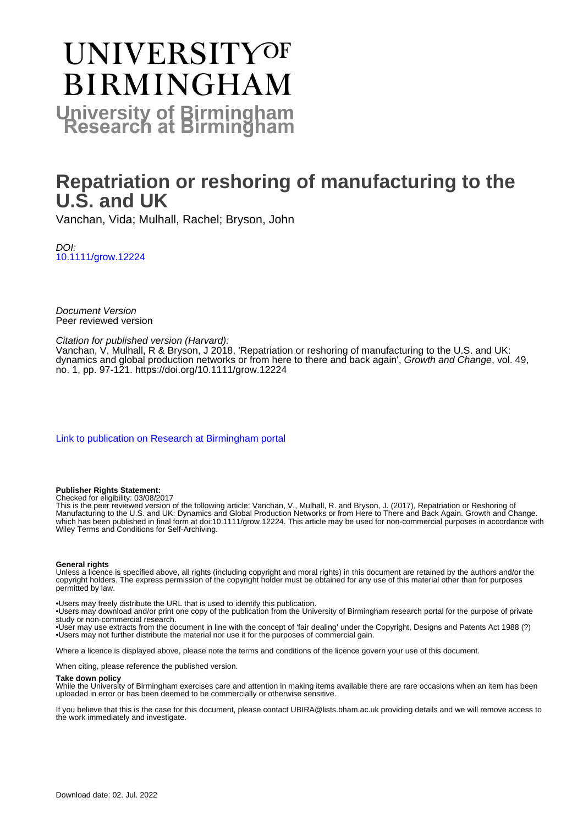# **UNIVERSITYOF BIRMINGHAM University of Birmingham**

# **Repatriation or reshoring of manufacturing to the U.S. and UK**

Vanchan, Vida; Mulhall, Rachel; Bryson, John

DOI: [10.1111/grow.12224](https://doi.org/10.1111/grow.12224)

Document Version Peer reviewed version

#### Citation for published version (Harvard):

Vanchan, V, Mulhall, R & Bryson, J 2018, 'Repatriation or reshoring of manufacturing to the U.S. and UK: dynamics and global production networks or from here to there and back again', Growth and Change, vol. 49, no. 1, pp. 97-121.<https://doi.org/10.1111/grow.12224>

[Link to publication on Research at Birmingham portal](https://birmingham.elsevierpure.com/en/publications/5fa80304-583d-41f8-8b3c-2f5ec00e537c)

#### **Publisher Rights Statement:**

Checked for eligibility: 03/08/2017

This is the peer reviewed version of the following article: Vanchan, V., Mulhall, R. and Bryson, J. (2017), Repatriation or Reshoring of Manufacturing to the U.S. and UK: Dynamics and Global Production Networks or from Here to There and Back Again. Growth and Change. which has been published in final form at doi:10.1111/grow.12224. This article may be used for non-commercial purposes in accordance with Wiley Terms and Conditions for Self-Archiving.

#### **General rights**

Unless a licence is specified above, all rights (including copyright and moral rights) in this document are retained by the authors and/or the copyright holders. The express permission of the copyright holder must be obtained for any use of this material other than for purposes permitted by law.

• Users may freely distribute the URL that is used to identify this publication.

• Users may download and/or print one copy of the publication from the University of Birmingham research portal for the purpose of private study or non-commercial research.

• User may use extracts from the document in line with the concept of 'fair dealing' under the Copyright, Designs and Patents Act 1988 (?) • Users may not further distribute the material nor use it for the purposes of commercial gain.

Where a licence is displayed above, please note the terms and conditions of the licence govern your use of this document.

When citing, please reference the published version.

#### **Take down policy**

While the University of Birmingham exercises care and attention in making items available there are rare occasions when an item has been uploaded in error or has been deemed to be commercially or otherwise sensitive.

If you believe that this is the case for this document, please contact UBIRA@lists.bham.ac.uk providing details and we will remove access to the work immediately and investigate.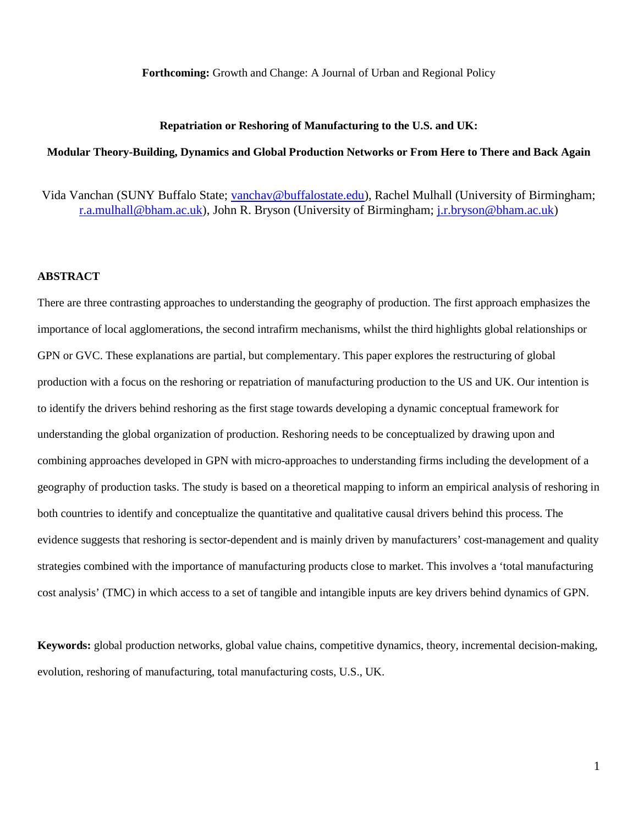**Forthcoming:** Growth and Change: A Journal of Urban and Regional Policy

## **Repatriation or Reshoring of Manufacturing to the U.S. and UK:**

#### **Modular Theory-Building, Dynamics and Global Production Networks or From Here to There and Back Again**

Vida Vanchan (SUNY Buffalo State; [vanchav@buffalostate.edu\)](mailto:vanchav@buffalostate.edu), Rachel Mulhall (University of Birmingham; [r.a.mulhall@bham.ac.uk\)](mailto:r.a.mulhall@bham.ac.uk), John R. Bryson (University of Birmingham; [j.r.bryson@bham.ac.uk\)](mailto:j.r.bryson@bham.ac.uk)

# **ABSTRACT**

There are three contrasting approaches to understanding the geography of production. The first approach emphasizes the importance of local agglomerations, the second intrafirm mechanisms, whilst the third highlights global relationships or GPN or GVC. These explanations are partial, but complementary. This paper explores the restructuring of global production with a focus on the reshoring or repatriation of manufacturing production to the US and UK. Our intention is to identify the drivers behind reshoring as the first stage towards developing a dynamic conceptual framework for understanding the global organization of production. Reshoring needs to be conceptualized by drawing upon and combining approaches developed in GPN with micro-approaches to understanding firms including the development of a geography of production tasks. The study is based on a theoretical mapping to inform an empirical analysis of reshoring in both countries to identify and conceptualize the quantitative and qualitative causal drivers behind this process. The evidence suggests that reshoring is sector-dependent and is mainly driven by manufacturers' cost-management and quality strategies combined with the importance of manufacturing products close to market. This involves a 'total manufacturing cost analysis' (TMC) in which access to a set of tangible and intangible inputs are key drivers behind dynamics of GPN.

**Keywords:** global production networks, global value chains, competitive dynamics, theory, incremental decision-making, evolution, reshoring of manufacturing, total manufacturing costs, U.S., UK.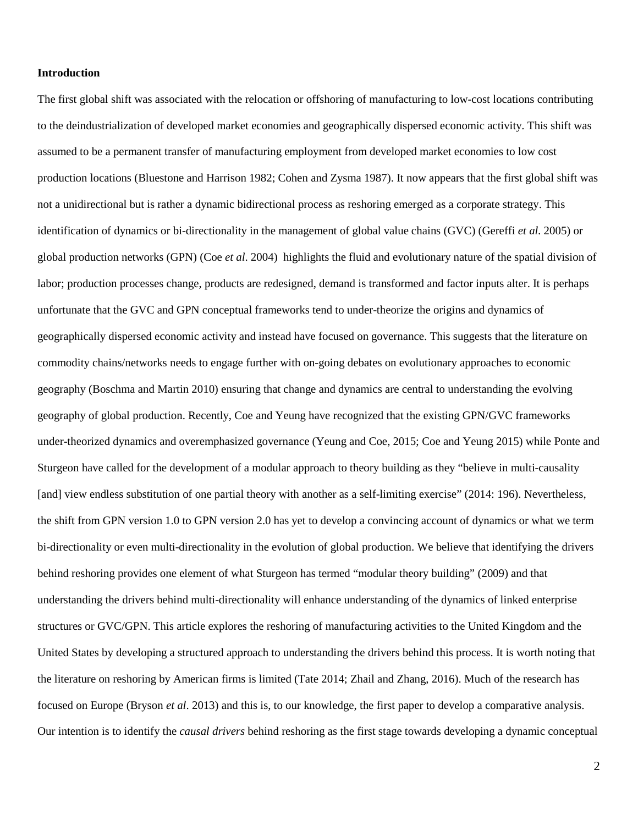# **Introduction**

The first global shift was associated with the relocation or offshoring of manufacturing to low-cost locations contributing to the deindustrialization of developed market economies and geographically dispersed economic activity. This shift was assumed to be a permanent transfer of manufacturing employment from developed market economies to low cost production locations (Bluestone and Harrison 1982; Cohen and Zysma 1987). It now appears that the first global shift was not a unidirectional but is rather a dynamic bidirectional process as reshoring emerged as a corporate strategy. This identification of dynamics or bi-directionality in the management of global value chains (GVC) (Gereffi *et al*. 2005) or global production networks (GPN) (Coe *et al*. 2004) highlights the fluid and evolutionary nature of the spatial division of labor; production processes change, products are redesigned, demand is transformed and factor inputs alter. It is perhaps unfortunate that the GVC and GPN conceptual frameworks tend to under-theorize the origins and dynamics of geographically dispersed economic activity and instead have focused on governance. This suggests that the literature on commodity chains/networks needs to engage further with on-going debates on evolutionary approaches to economic geography (Boschma and Martin 2010) ensuring that change and dynamics are central to understanding the evolving geography of global production. Recently, Coe and Yeung have recognized that the existing GPN/GVC frameworks under-theorized dynamics and overemphasized governance (Yeung and Coe, 2015; Coe and Yeung 2015) while Ponte and Sturgeon have called for the development of a modular approach to theory building as they "believe in multi-causality [and] view endless substitution of one partial theory with another as a self-limiting exercise" (2014: 196). Nevertheless, the shift from GPN version 1.0 to GPN version 2.0 has yet to develop a convincing account of dynamics or what we term bi-directionality or even multi-directionality in the evolution of global production. We believe that identifying the drivers behind reshoring provides one element of what Sturgeon has termed "modular theory building" (2009) and that understanding the drivers behind multi-directionality will enhance understanding of the dynamics of linked enterprise structures or GVC/GPN. This article explores the reshoring of manufacturing activities to the United Kingdom and the United States by developing a structured approach to understanding the drivers behind this process. It is worth noting that the literature on reshoring by American firms is limited (Tate 2014; Zhail and Zhang, 2016). Much of the research has focused on Europe (Bryson *et al*. 2013) and this is, to our knowledge, the first paper to develop a comparative analysis. Our intention is to identify the *causal drivers* behind reshoring as the first stage towards developing a dynamic conceptual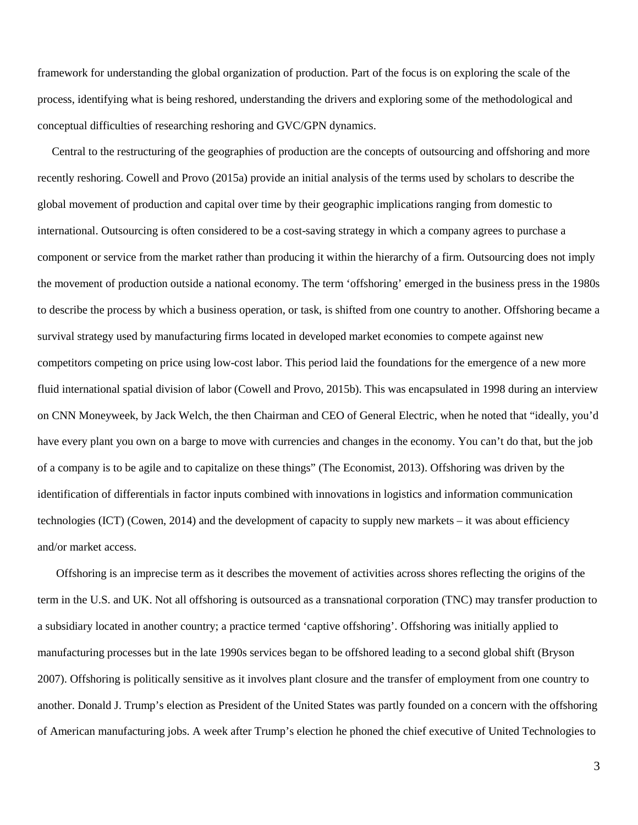framework for understanding the global organization of production. Part of the focus is on exploring the scale of the process, identifying what is being reshored, understanding the drivers and exploring some of the methodological and conceptual difficulties of researching reshoring and GVC/GPN dynamics.

 Central to the restructuring of the geographies of production are the concepts of outsourcing and offshoring and more recently reshoring. Cowell and Provo (2015a) provide an initial analysis of the terms used by scholars to describe the global movement of production and capital over time by their geographic implications ranging from domestic to international. Outsourcing is often considered to be a cost-saving strategy in which a company agrees to purchase a component or service from the market rather than producing it within the hierarchy of a firm. Outsourcing does not imply the movement of production outside a national economy. The term 'offshoring' emerged in the business press in the 1980s to describe the process by which a business operation, or task, is shifted from one country to another. Offshoring became a survival strategy used by manufacturing firms located in developed market economies to compete against new competitors competing on price using low-cost labor. This period laid the foundations for the emergence of a new more fluid international spatial division of labor (Cowell and Provo, 2015b). This was encapsulated in 1998 during an interview on CNN Moneyweek, by Jack Welch, the then Chairman and CEO of General Electric, when he noted that "ideally, you'd have every plant you own on a barge to move with currencies and changes in the economy. You can't do that, but the job of a company is to be agile and to capitalize on these things" (The Economist, 2013). Offshoring was driven by the identification of differentials in factor inputs combined with innovations in logistics and information communication technologies (ICT) (Cowen, 2014) and the development of capacity to supply new markets – it was about efficiency and/or market access.

Offshoring is an imprecise term as it describes the movement of activities across shores reflecting the origins of the term in the U.S. and UK. Not all offshoring is outsourced as a transnational corporation (TNC) may transfer production to a subsidiary located in another country; a practice termed 'captive offshoring'. Offshoring was initially applied to manufacturing processes but in the late 1990s services began to be offshored leading to a second global shift (Bryson 2007). Offshoring is politically sensitive as it involves plant closure and the transfer of employment from one country to another. Donald J. Trump's election as President of the United States was partly founded on a concern with the offshoring of American manufacturing jobs. A week after Trump's election he phoned the chief executive of United Technologies to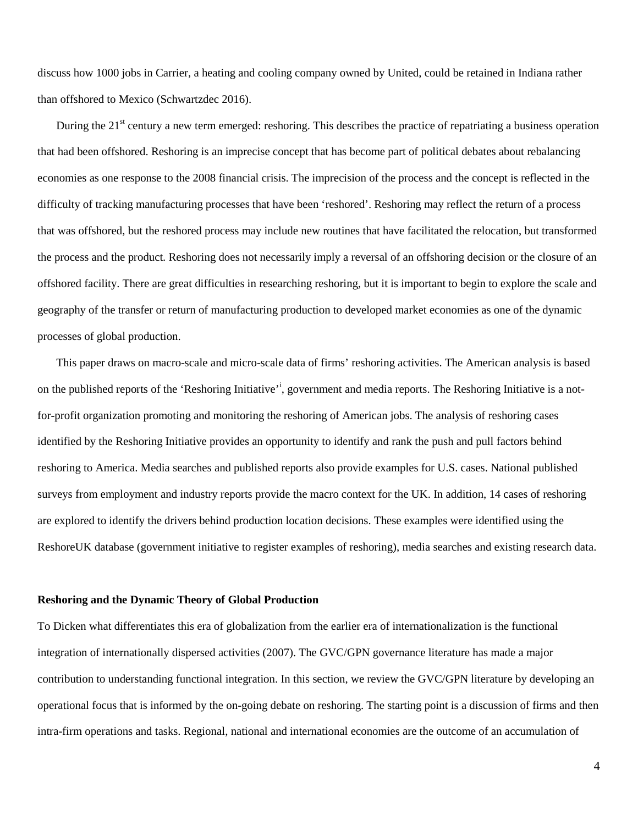discuss how 1000 jobs in Carrier, a heating and cooling company owned by United, could be retained in Indiana rather than offshored to Mexico (Schwartzdec 2016).

During the  $21<sup>st</sup>$  century a new term emerged: reshoring. This describes the practice of repatriating a business operation that had been offshored. Reshoring is an imprecise concept that has become part of political debates about rebalancing economies as one response to the 2008 financial crisis. The imprecision of the process and the concept is reflected in the difficulty of tracking manufacturing processes that have been 'reshored'. Reshoring may reflect the return of a process that was offshored, but the reshored process may include new routines that have facilitated the relocation, but transformed the process and the product. Reshoring does not necessarily imply a reversal of an offshoring decision or the closure of an offshored facility. There are great difficulties in researching reshoring, but it is important to begin to explore the scale and geography of the transfer or return of manufacturing production to developed market economies as one of the dynamic processes of global production.

This paper draws on macro-scale and micro-scale data of firms' reshoring activities. The American analysis is based on the publ[i](#page-37-0)shed reports of the 'Reshoring Initiative'<sup>i</sup>, government and media reports. The Reshoring Initiative is a notfor-profit organization promoting and monitoring the reshoring of American jobs. The analysis of reshoring cases identified by the Reshoring Initiative provides an opportunity to identify and rank the push and pull factors behind reshoring to America. Media searches and published reports also provide examples for U.S. cases. National published surveys from employment and industry reports provide the macro context for the UK. In addition, 14 cases of reshoring are explored to identify the drivers behind production location decisions. These examples were identified using the ReshoreUK database (government initiative to register examples of reshoring), media searches and existing research data.

#### **Reshoring and the Dynamic Theory of Global Production**

To Dicken what differentiates this era of globalization from the earlier era of internationalization is the functional integration of internationally dispersed activities (2007). The GVC/GPN governance literature has made a major contribution to understanding functional integration. In this section, we review the GVC/GPN literature by developing an operational focus that is informed by the on-going debate on reshoring. The starting point is a discussion of firms and then intra-firm operations and tasks. Regional, national and international economies are the outcome of an accumulation of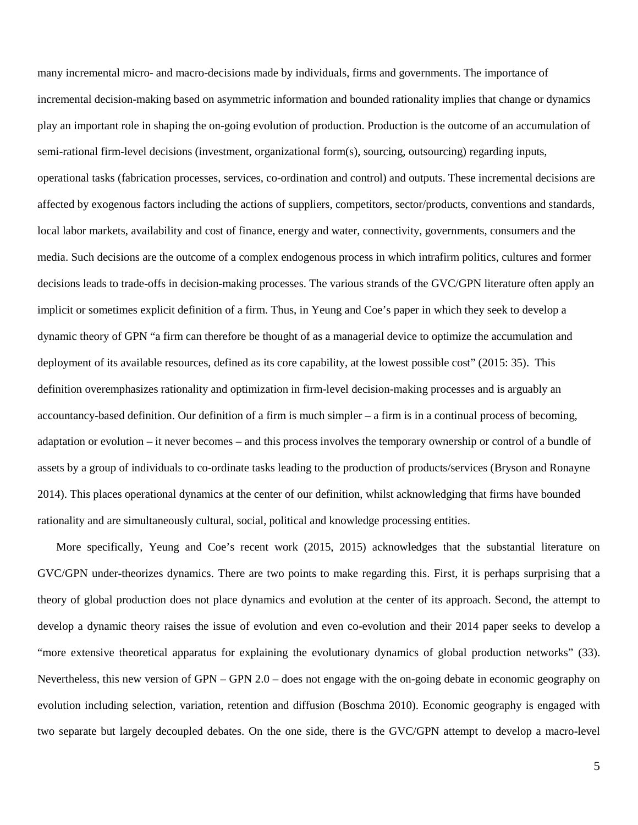many incremental micro- and macro-decisions made by individuals, firms and governments. The importance of incremental decision-making based on asymmetric information and bounded rationality implies that change or dynamics play an important role in shaping the on-going evolution of production. Production is the outcome of an accumulation of semi-rational firm-level decisions (investment, organizational form(s), sourcing, outsourcing) regarding inputs, operational tasks (fabrication processes, services, co-ordination and control) and outputs. These incremental decisions are affected by exogenous factors including the actions of suppliers, competitors, sector/products, conventions and standards, local labor markets, availability and cost of finance, energy and water, connectivity, governments, consumers and the media. Such decisions are the outcome of a complex endogenous process in which intrafirm politics, cultures and former decisions leads to trade-offs in decision-making processes. The various strands of the GVC/GPN literature often apply an implicit or sometimes explicit definition of a firm. Thus, in Yeung and Coe's paper in which they seek to develop a dynamic theory of GPN "a firm can therefore be thought of as a managerial device to optimize the accumulation and deployment of its available resources, defined as its core capability, at the lowest possible cost" (2015: 35). This definition overemphasizes rationality and optimization in firm-level decision-making processes and is arguably an accountancy-based definition. Our definition of a firm is much simpler – a firm is in a continual process of becoming, adaptation or evolution – it never becomes – and this process involves the temporary ownership or control of a bundle of assets by a group of individuals to co-ordinate tasks leading to the production of products/services (Bryson and Ronayne 2014). This places operational dynamics at the center of our definition, whilst acknowledging that firms have bounded rationality and are simultaneously cultural, social, political and knowledge processing entities.

More specifically, Yeung and Coe's recent work (2015, 2015) acknowledges that the substantial literature on GVC/GPN under-theorizes dynamics. There are two points to make regarding this. First, it is perhaps surprising that a theory of global production does not place dynamics and evolution at the center of its approach. Second, the attempt to develop a dynamic theory raises the issue of evolution and even co-evolution and their 2014 paper seeks to develop a "more extensive theoretical apparatus for explaining the evolutionary dynamics of global production networks" (33). Nevertheless, this new version of GPN – GPN 2.0 – does not engage with the on-going debate in economic geography on evolution including selection, variation, retention and diffusion (Boschma 2010). Economic geography is engaged with two separate but largely decoupled debates. On the one side, there is the GVC/GPN attempt to develop a macro-level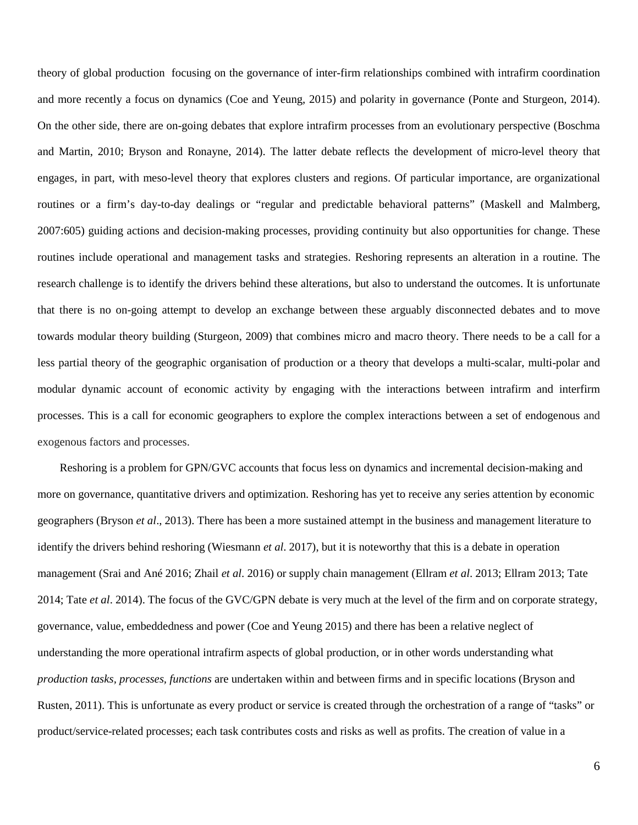theory of global production focusing on the governance of inter-firm relationships combined with intrafirm coordination and more recently a focus on dynamics (Coe and Yeung, 2015) and polarity in governance (Ponte and Sturgeon, 2014). On the other side, there are on-going debates that explore intrafirm processes from an evolutionary perspective (Boschma and Martin, 2010; Bryson and Ronayne, 2014). The latter debate reflects the development of micro-level theory that engages, in part, with meso-level theory that explores clusters and regions. Of particular importance, are organizational routines or a firm's day-to-day dealings or "regular and predictable behavioral patterns" (Maskell and Malmberg, 2007:605) guiding actions and decision-making processes, providing continuity but also opportunities for change. These routines include operational and management tasks and strategies. Reshoring represents an alteration in a routine. The research challenge is to identify the drivers behind these alterations, but also to understand the outcomes. It is unfortunate that there is no on-going attempt to develop an exchange between these arguably disconnected debates and to move towards modular theory building (Sturgeon, 2009) that combines micro and macro theory. There needs to be a call for a less partial theory of the geographic organisation of production or a theory that develops a multi-scalar, multi-polar and modular dynamic account of economic activity by engaging with the interactions between intrafirm and interfirm processes. This is a call for economic geographers to explore the complex interactions between a set of endogenous and exogenous factors and processes.

Reshoring is a problem for GPN/GVC accounts that focus less on dynamics and incremental decision-making and more on governance, quantitative drivers and optimization. Reshoring has yet to receive any series attention by economic geographers (Bryson *et al*., 2013). There has been a more sustained attempt in the business and management literature to identify the drivers behind reshoring (Wiesmann *et al*. 2017), but it is noteworthy that this is a debate in operation management (Srai and Ané 2016; Zhail *et al*. 2016) or supply chain management (Ellram *et al*. 2013; Ellram 2013; Tate 2014; Tate *et al*. 2014). The focus of the GVC/GPN debate is very much at the level of the firm and on corporate strategy, governance, value, embeddedness and power (Coe and Yeung 2015) and there has been a relative neglect of understanding the more operational intrafirm aspects of global production, or in other words understanding what *production tasks, processes, functions* are undertaken within and between firms and in specific locations (Bryson and Rusten, 2011). This is unfortunate as every product or service is created through the orchestration of a range of "tasks" or product/service-related processes; each task contributes costs and risks as well as profits. The creation of value in a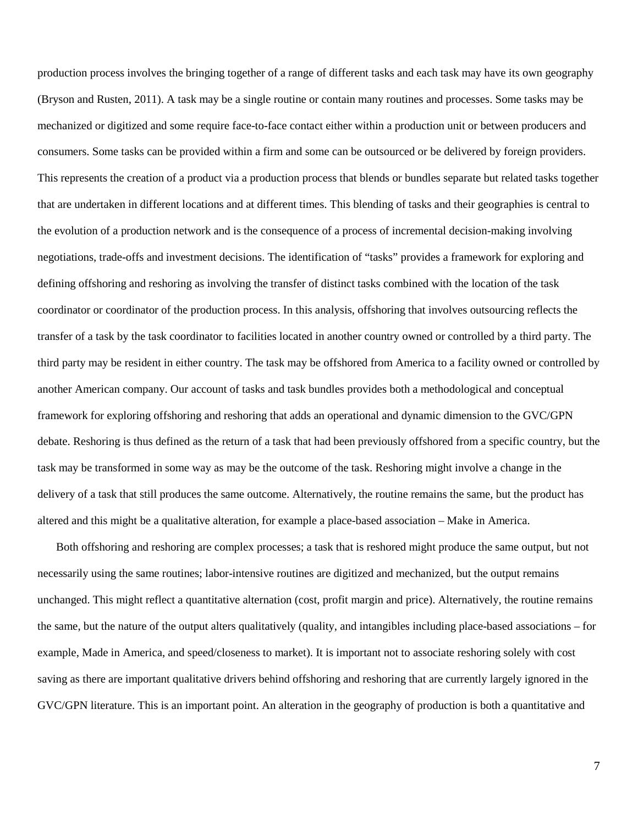production process involves the bringing together of a range of different tasks and each task may have its own geography (Bryson and Rusten, 2011). A task may be a single routine or contain many routines and processes. Some tasks may be mechanized or digitized and some require face-to-face contact either within a production unit or between producers and consumers. Some tasks can be provided within a firm and some can be outsourced or be delivered by foreign providers. This represents the creation of a product via a production process that blends or bundles separate but related tasks together that are undertaken in different locations and at different times. This blending of tasks and their geographies is central to the evolution of a production network and is the consequence of a process of incremental decision-making involving negotiations, trade-offs and investment decisions. The identification of "tasks" provides a framework for exploring and defining offshoring and reshoring as involving the transfer of distinct tasks combined with the location of the task coordinator or coordinator of the production process. In this analysis, offshoring that involves outsourcing reflects the transfer of a task by the task coordinator to facilities located in another country owned or controlled by a third party. The third party may be resident in either country. The task may be offshored from America to a facility owned or controlled by another American company. Our account of tasks and task bundles provides both a methodological and conceptual framework for exploring offshoring and reshoring that adds an operational and dynamic dimension to the GVC/GPN debate. Reshoring is thus defined as the return of a task that had been previously offshored from a specific country, but the task may be transformed in some way as may be the outcome of the task. Reshoring might involve a change in the delivery of a task that still produces the same outcome. Alternatively, the routine remains the same, but the product has altered and this might be a qualitative alteration, for example a place-based association – Make in America.

Both offshoring and reshoring are complex processes; a task that is reshored might produce the same output, but not necessarily using the same routines; labor-intensive routines are digitized and mechanized, but the output remains unchanged. This might reflect a quantitative alternation (cost, profit margin and price). Alternatively, the routine remains the same, but the nature of the output alters qualitatively (quality, and intangibles including place-based associations – for example, Made in America, and speed/closeness to market). It is important not to associate reshoring solely with cost saving as there are important qualitative drivers behind offshoring and reshoring that are currently largely ignored in the GVC/GPN literature. This is an important point. An alteration in the geography of production is both a quantitative and

7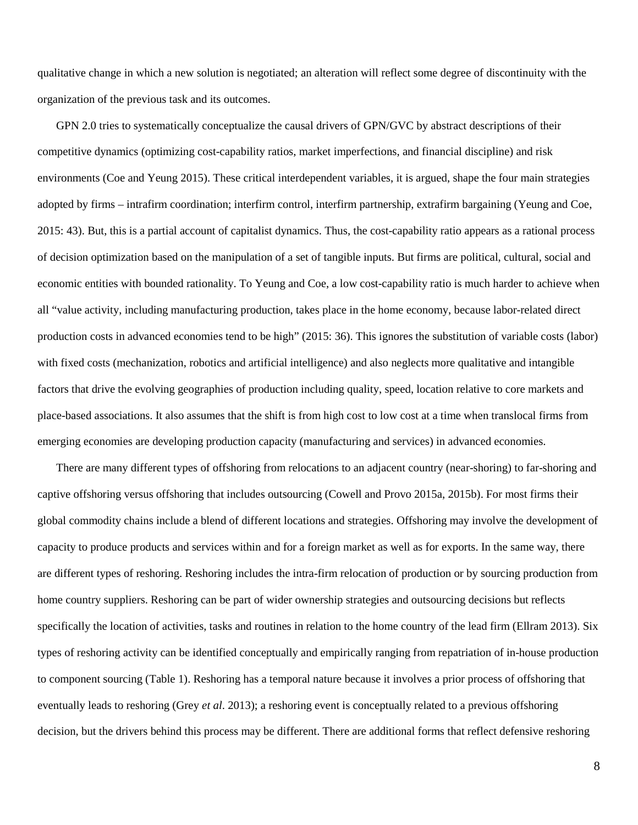qualitative change in which a new solution is negotiated; an alteration will reflect some degree of discontinuity with the organization of the previous task and its outcomes.

GPN 2.0 tries to systematically conceptualize the causal drivers of GPN/GVC by abstract descriptions of their competitive dynamics (optimizing cost-capability ratios, market imperfections, and financial discipline) and risk environments (Coe and Yeung 2015). These critical interdependent variables, it is argued, shape the four main strategies adopted by firms – intrafirm coordination; interfirm control, interfirm partnership, extrafirm bargaining (Yeung and Coe, 2015: 43). But, this is a partial account of capitalist dynamics. Thus, the cost-capability ratio appears as a rational process of decision optimization based on the manipulation of a set of tangible inputs. But firms are political, cultural, social and economic entities with bounded rationality. To Yeung and Coe, a low cost-capability ratio is much harder to achieve when all "value activity, including manufacturing production, takes place in the home economy, because labor-related direct production costs in advanced economies tend to be high" (2015: 36). This ignores the substitution of variable costs (labor) with fixed costs (mechanization, robotics and artificial intelligence) and also neglects more qualitative and intangible factors that drive the evolving geographies of production including quality, speed, location relative to core markets and place-based associations. It also assumes that the shift is from high cost to low cost at a time when translocal firms from emerging economies are developing production capacity (manufacturing and services) in advanced economies.

There are many different types of offshoring from relocations to an adjacent country (near-shoring) to far-shoring and captive offshoring versus offshoring that includes outsourcing (Cowell and Provo 2015a, 2015b). For most firms their global commodity chains include a blend of different locations and strategies. Offshoring may involve the development of capacity to produce products and services within and for a foreign market as well as for exports. In the same way, there are different types of reshoring. Reshoring includes the intra-firm relocation of production or by sourcing production from home country suppliers. Reshoring can be part of wider ownership strategies and outsourcing decisions but reflects specifically the location of activities, tasks and routines in relation to the home country of the lead firm (Ellram 2013). Six types of reshoring activity can be identified conceptually and empirically ranging from repatriation of in-house production to component sourcing (Table 1). Reshoring has a temporal nature because it involves a prior process of offshoring that eventually leads to reshoring (Grey *et al*. 2013); a reshoring event is conceptually related to a previous offshoring decision, but the drivers behind this process may be different. There are additional forms that reflect defensive reshoring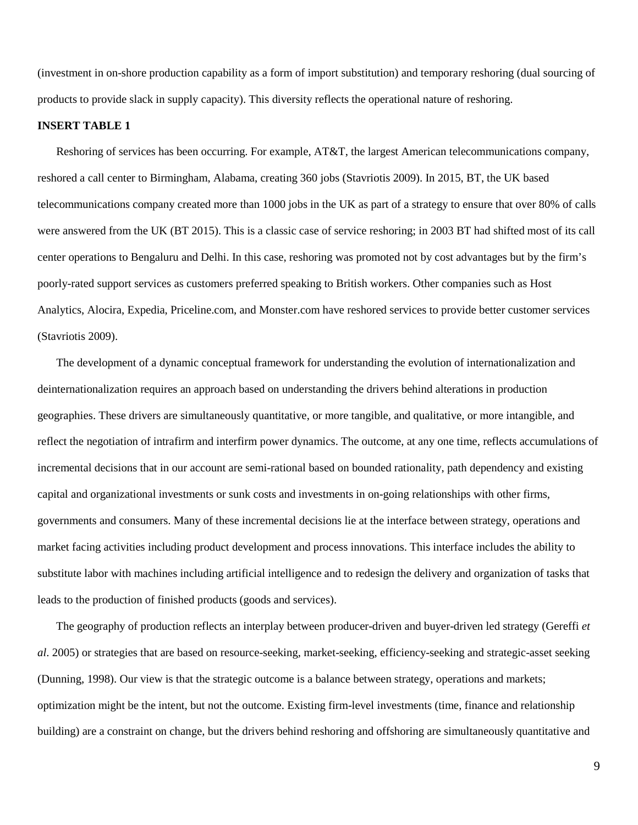(investment in on-shore production capability as a form of import substitution) and temporary reshoring (dual sourcing of products to provide slack in supply capacity). This diversity reflects the operational nature of reshoring.

# **INSERT TABLE 1**

Reshoring of services has been occurring. For example, AT&T, the largest American telecommunications company, reshored a call center to Birmingham, Alabama, creating 360 jobs (Stavriotis 2009). In 2015, BT, the UK based telecommunications company created more than 1000 jobs in the UK as part of a strategy to ensure that over 80% of calls were answered from the UK (BT 2015). This is a classic case of service reshoring; in 2003 BT had shifted most of its call center operations to Bengaluru and Delhi. In this case, reshoring was promoted not by cost advantages but by the firm's poorly-rated support services as customers preferred speaking to British workers. Other companies such as Host Analytics, Alocira, Expedia, Priceline.com, and Monster.com have reshored services to provide better customer services (Stavriotis 2009).

The development of a dynamic conceptual framework for understanding the evolution of internationalization and deinternationalization requires an approach based on understanding the drivers behind alterations in production geographies. These drivers are simultaneously quantitative, or more tangible, and qualitative, or more intangible, and reflect the negotiation of intrafirm and interfirm power dynamics. The outcome, at any one time, reflects accumulations of incremental decisions that in our account are semi-rational based on bounded rationality, path dependency and existing capital and organizational investments or sunk costs and investments in on-going relationships with other firms, governments and consumers. Many of these incremental decisions lie at the interface between strategy, operations and market facing activities including product development and process innovations. This interface includes the ability to substitute labor with machines including artificial intelligence and to redesign the delivery and organization of tasks that leads to the production of finished products (goods and services).

The geography of production reflects an interplay between producer-driven and buyer-driven led strategy (Gereffi *et al*. 2005) or strategies that are based on resource-seeking, market-seeking, efficiency-seeking and strategic-asset seeking (Dunning, 1998). Our view is that the strategic outcome is a balance between strategy, operations and markets; optimization might be the intent, but not the outcome. Existing firm-level investments (time, finance and relationship building) are a constraint on change, but the drivers behind reshoring and offshoring are simultaneously quantitative and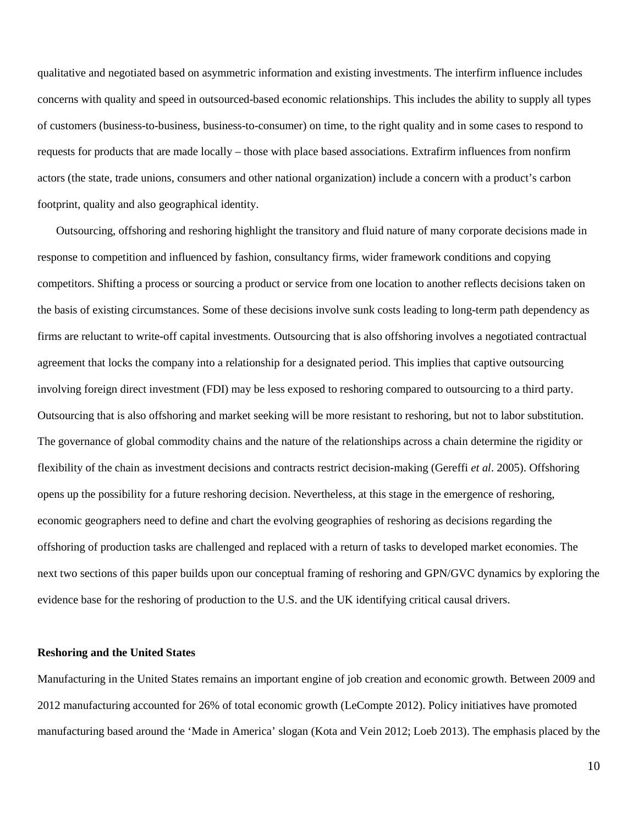qualitative and negotiated based on asymmetric information and existing investments. The interfirm influence includes concerns with quality and speed in outsourced-based economic relationships. This includes the ability to supply all types of customers (business-to-business, business-to-consumer) on time, to the right quality and in some cases to respond to requests for products that are made locally – those with place based associations. Extrafirm influences from nonfirm actors (the state, trade unions, consumers and other national organization) include a concern with a product's carbon footprint, quality and also geographical identity.

Outsourcing, offshoring and reshoring highlight the transitory and fluid nature of many corporate decisions made in response to competition and influenced by fashion, consultancy firms, wider framework conditions and copying competitors. Shifting a process or sourcing a product or service from one location to another reflects decisions taken on the basis of existing circumstances. Some of these decisions involve sunk costs leading to long-term path dependency as firms are reluctant to write-off capital investments. Outsourcing that is also offshoring involves a negotiated contractual agreement that locks the company into a relationship for a designated period. This implies that captive outsourcing involving foreign direct investment (FDI) may be less exposed to reshoring compared to outsourcing to a third party. Outsourcing that is also offshoring and market seeking will be more resistant to reshoring, but not to labor substitution. The governance of global commodity chains and the nature of the relationships across a chain determine the rigidity or flexibility of the chain as investment decisions and contracts restrict decision-making (Gereffi *et al*. 2005). Offshoring opens up the possibility for a future reshoring decision. Nevertheless, at this stage in the emergence of reshoring, economic geographers need to define and chart the evolving geographies of reshoring as decisions regarding the offshoring of production tasks are challenged and replaced with a return of tasks to developed market economies. The next two sections of this paper builds upon our conceptual framing of reshoring and GPN/GVC dynamics by exploring the evidence base for the reshoring of production to the U.S. and the UK identifying critical causal drivers.

### **Reshoring and the United States**

Manufacturing in the United States remains an important engine of job creation and economic growth. Between 2009 and 2012 manufacturing accounted for 26% of total economic growth (LeCompte 2012). Policy initiatives have promoted manufacturing based around the 'Made in America' slogan (Kota and Vein 2012; Loeb 2013). The emphasis placed by the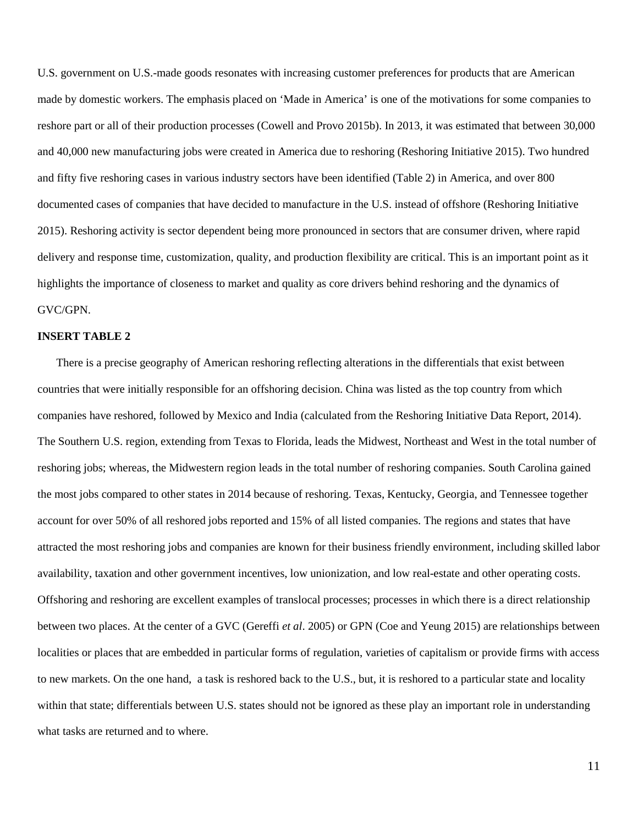U.S. government on U.S.-made goods resonates with increasing customer preferences for products that are American made by domestic workers. The emphasis placed on 'Made in America' is one of the motivations for some companies to reshore part or all of their production processes (Cowell and Provo 2015b). In 2013, it was estimated that between 30,000 and 40,000 new manufacturing jobs were created in America due to reshoring (Reshoring Initiative 2015). Two hundred and fifty five reshoring cases in various industry sectors have been identified (Table 2) in America, and over 800 documented cases of companies that have decided to manufacture in the U.S. instead of offshore (Reshoring Initiative 2015). Reshoring activity is sector dependent being more pronounced in sectors that are consumer driven, where rapid delivery and response time, customization, quality, and production flexibility are critical. This is an important point as it highlights the importance of closeness to market and quality as core drivers behind reshoring and the dynamics of GVC/GPN.

#### **INSERT TABLE 2**

There is a precise geography of American reshoring reflecting alterations in the differentials that exist between countries that were initially responsible for an offshoring decision. China was listed as the top country from which companies have reshored, followed by Mexico and India (calculated from the Reshoring Initiative Data Report, 2014). The Southern U.S. region, extending from Texas to Florida, leads the Midwest, Northeast and West in the total number of reshoring jobs; whereas, the Midwestern region leads in the total number of reshoring companies. South Carolina gained the most jobs compared to other states in 2014 because of reshoring. Texas, Kentucky, Georgia, and Tennessee together account for over 50% of all reshored jobs reported and 15% of all listed companies. The regions and states that have attracted the most reshoring jobs and companies are known for their business friendly environment, including skilled labor availability, taxation and other government incentives, low unionization, and low real-estate and other operating costs. Offshoring and reshoring are excellent examples of translocal processes; processes in which there is a direct relationship between two places. At the center of a GVC (Gereffi *et al*. 2005) or GPN (Coe and Yeung 2015) are relationships between localities or places that are embedded in particular forms of regulation, varieties of capitalism or provide firms with access to new markets. On the one hand, a task is reshored back to the U.S., but, it is reshored to a particular state and locality within that state; differentials between U.S. states should not be ignored as these play an important role in understanding what tasks are returned and to where.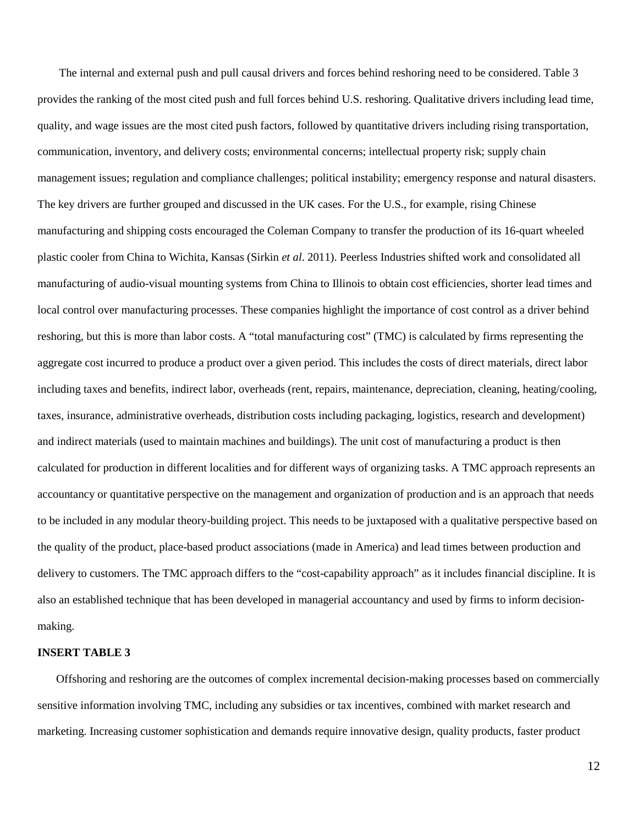The internal and external push and pull causal drivers and forces behind reshoring need to be considered. Table 3 provides the ranking of the most cited push and full forces behind U.S. reshoring. Qualitative drivers including lead time, quality, and wage issues are the most cited push factors, followed by quantitative drivers including rising transportation, communication, inventory, and delivery costs; environmental concerns; intellectual property risk; supply chain management issues; regulation and compliance challenges; political instability; emergency response and natural disasters. The key drivers are further grouped and discussed in the UK cases. For the U.S., for example, rising Chinese manufacturing and shipping costs encouraged the Coleman Company to transfer the production of its 16-quart wheeled plastic cooler from China to Wichita, Kansas (Sirkin *et al*. 2011). Peerless Industries shifted work and consolidated all manufacturing of audio-visual mounting systems from China to Illinois to obtain cost efficiencies, shorter lead times and local control over manufacturing processes. These companies highlight the importance of cost control as a driver behind reshoring, but this is more than labor costs. A "total manufacturing cost" (TMC) is calculated by firms representing the aggregate cost incurred to produce a product over a given period. This includes the costs of direct materials, direct labor including taxes and benefits, indirect labor, overheads (rent, repairs, maintenance, depreciation, cleaning, heating/cooling, taxes, insurance, administrative overheads, distribution costs including packaging, logistics, research and development) and indirect materials (used to maintain machines and buildings). The unit cost of manufacturing a product is then calculated for production in different localities and for different ways of organizing tasks. A TMC approach represents an accountancy or quantitative perspective on the management and organization of production and is an approach that needs to be included in any modular theory-building project. This needs to be juxtaposed with a qualitative perspective based on the quality of the product, place-based product associations (made in America) and lead times between production and delivery to customers. The TMC approach differs to the "cost-capability approach" as it includes financial discipline. It is also an established technique that has been developed in managerial accountancy and used by firms to inform decisionmaking.

# **INSERT TABLE 3**

Offshoring and reshoring are the outcomes of complex incremental decision-making processes based on commercially sensitive information involving TMC, including any subsidies or tax incentives, combined with market research and marketing. Increasing customer sophistication and demands require innovative design, quality products, faster product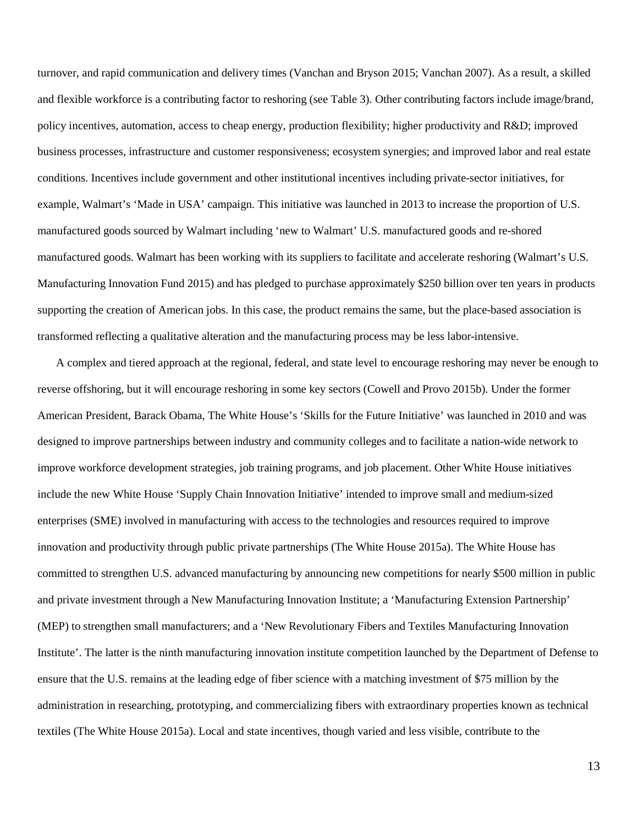turnover, and rapid communication and delivery times (Vanchan and Bryson 2015; Vanchan 2007). As a result, a skilled and flexible workforce is a contributing factor to reshoring (see Table 3). Other contributing factors include image/brand, policy incentives, automation, access to cheap energy, production flexibility; higher productivity and R&D; improved business processes, infrastructure and customer responsiveness; ecosystem synergies; and improved labor and real estate conditions. Incentives include government and other institutional incentives including private-sector initiatives, for example, Walmart's 'Made in USA' campaign. This initiative was launched in 2013 to increase the proportion of U.S. manufactured goods sourced by Walmart including 'new to Walmart' U.S. manufactured goods and re-shored manufactured goods. Walmart has been working with its suppliers to facilitate and accelerate reshoring (Walmart's U.S. Manufacturing Innovation Fund 2015) and has pledged to purchase approximately \$250 billion over ten years in products supporting the creation of American jobs. In this case, the product remains the same, but the place-based association is transformed reflecting a qualitative alteration and the manufacturing process may be less labor-intensive.

A complex and tiered approach at the regional, federal, and state level to encourage reshoring may never be enough to reverse offshoring, but it will encourage reshoring in some key sectors (Cowell and Provo 2015b). Under the former American President, Barack Obama, The White House's 'Skills for the Future Initiative' was launched in 2010 and was designed to improve partnerships between industry and community colleges and to facilitate a nation-wide network to improve workforce development strategies, job training programs, and job placement. Other White House initiatives include the new White House 'Supply Chain Innovation Initiative' intended to improve small and medium-sized enterprises (SME) involved in manufacturing with access to the technologies and resources required to improve innovation and productivity through public private partnerships (The White House 2015a). The White House has committed to strengthen U.S. advanced manufacturing by announcing new competitions for nearly \$500 million in public and private investment through a New Manufacturing Innovation Institute; a 'Manufacturing Extension Partnership' (MEP) to strengthen small manufacturers; and a 'New Revolutionary Fibers and Textiles Manufacturing Innovation Institute'. The latter is the ninth manufacturing innovation institute competition launched by the Department of Defense to ensure that the U.S. remains at the leading edge of fiber science with a matching investment of \$75 million by the administration in researching, prototyping, and commercializing fibers with extraordinary properties known as technical textiles (The White House 2015a). Local and state incentives, though varied and less visible, contribute to the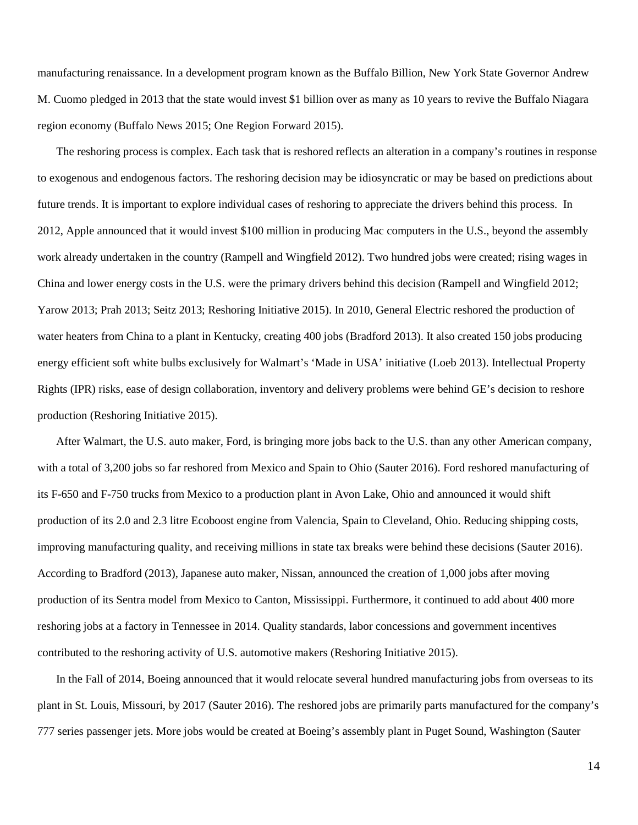manufacturing renaissance. In a development program known as the Buffalo Billion, New York State Governor Andrew M. Cuomo pledged in 2013 that the state would invest \$1 billion over as many as 10 years to revive the Buffalo Niagara region economy (Buffalo News 2015; One Region Forward 2015).

The reshoring process is complex. Each task that is reshored reflects an alteration in a company's routines in response to exogenous and endogenous factors. The reshoring decision may be idiosyncratic or may be based on predictions about future trends. It is important to explore individual cases of reshoring to appreciate the drivers behind this process. In 2012, Apple announced that it would invest \$100 million in producing Mac computers in the U.S., beyond the assembly work already undertaken in the country (Rampell and Wingfield 2012). Two hundred jobs were created; rising wages in China and lower energy costs in the U.S. were the primary drivers behind this decision (Rampell and Wingfield 2012; Yarow 2013; Prah 2013; Seitz 2013; Reshoring Initiative 2015). In 2010, General Electric reshored the production of water heaters from China to a plant in Kentucky, creating 400 jobs (Bradford 2013). It also created 150 jobs producing energy efficient soft white bulbs exclusively for Walmart's 'Made in USA' initiative (Loeb 2013). Intellectual Property Rights (IPR) risks, ease of design collaboration, inventory and delivery problems were behind GE's decision to reshore production (Reshoring Initiative 2015).

After Walmart, the U.S. auto maker, Ford, is bringing more jobs back to the U.S. than any other American company, with a total of 3,200 jobs so far reshored from Mexico and Spain to Ohio (Sauter 2016). Ford reshored manufacturing of its F-650 and F-750 trucks from Mexico to a production plant in Avon Lake, Ohio and announced it would shift production of its 2.0 and 2.3 litre Ecoboost engine from Valencia, Spain to Cleveland, Ohio. Reducing shipping costs, improving manufacturing quality, and receiving millions in state tax breaks were behind these decisions (Sauter 2016). According to Bradford (2013), Japanese auto maker, Nissan, announced the creation of 1,000 jobs after moving production of its Sentra model from Mexico to Canton, Mississippi. Furthermore, it continued to add about 400 more reshoring jobs at a factory in Tennessee in 2014. Quality standards, labor concessions and government incentives contributed to the reshoring activity of U.S. automotive makers (Reshoring Initiative 2015).

In the Fall of 2014, Boeing announced that it would relocate several hundred manufacturing jobs from overseas to its plant in St. Louis, Missouri, by 2017 (Sauter 2016). The reshored jobs are primarily parts manufactured for the company's 777 series passenger jets. More jobs would be created at Boeing's assembly plant in Puget Sound, Washington (Sauter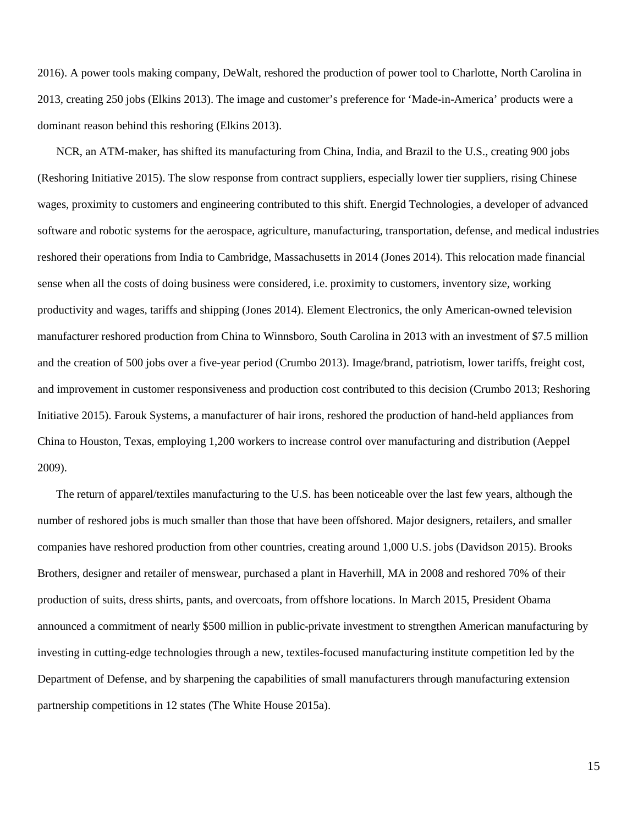2016). A power tools making company, DeWalt, reshored the production of power tool to Charlotte, North Carolina in 2013, creating 250 jobs (Elkins 2013). The image and customer's preference for 'Made-in-America' products were a dominant reason behind this reshoring (Elkins 2013).

NCR, an ATM-maker, has shifted its manufacturing from China, India, and Brazil to the U.S., creating 900 jobs (Reshoring Initiative 2015). The slow response from contract suppliers, especially lower tier suppliers, rising Chinese wages, proximity to customers and engineering contributed to this shift. Energid Technologies, a developer of advanced software and robotic systems for the aerospace, agriculture, manufacturing, transportation, defense, and medical industries reshored their operations from India to Cambridge, Massachusetts in 2014 (Jones 2014). This relocation made financial sense when all the costs of doing business were considered, i.e. proximity to customers, inventory size, working productivity and wages, tariffs and shipping (Jones 2014). Element Electronics, the only American-owned television manufacturer reshored production from China to Winnsboro, South Carolina in 2013 with an investment of \$7.5 million and the creation of 500 jobs over a five-year period (Crumbo 2013). Image/brand, patriotism, lower tariffs, freight cost, and improvement in customer responsiveness and production cost contributed to this decision (Crumbo 2013; Reshoring Initiative 2015). Farouk Systems, a manufacturer of hair irons, reshored the production of hand-held appliances from China to Houston, Texas, employing 1,200 workers to increase control over manufacturing and distribution (Aeppel 2009).

The return of apparel/textiles manufacturing to the U.S. has been noticeable over the last few years, although the number of reshored jobs is much smaller than those that have been offshored. Major designers, retailers, and smaller companies have reshored production from other countries, creating around 1,000 U.S. jobs (Davidson 2015). Brooks Brothers, designer and retailer of menswear, purchased a plant in Haverhill, MA in 2008 and reshored 70% of their production of suits, dress shirts, pants, and overcoats, from offshore locations. In March 2015, President Obama announced a commitment of nearly \$500 million in public-private investment to strengthen American manufacturing by investing in cutting-edge technologies through a new, textiles-focused manufacturing institute competition led by the Department of Defense, and by sharpening the capabilities of small manufacturers through manufacturing extension partnership competitions in 12 states (The White House 2015a).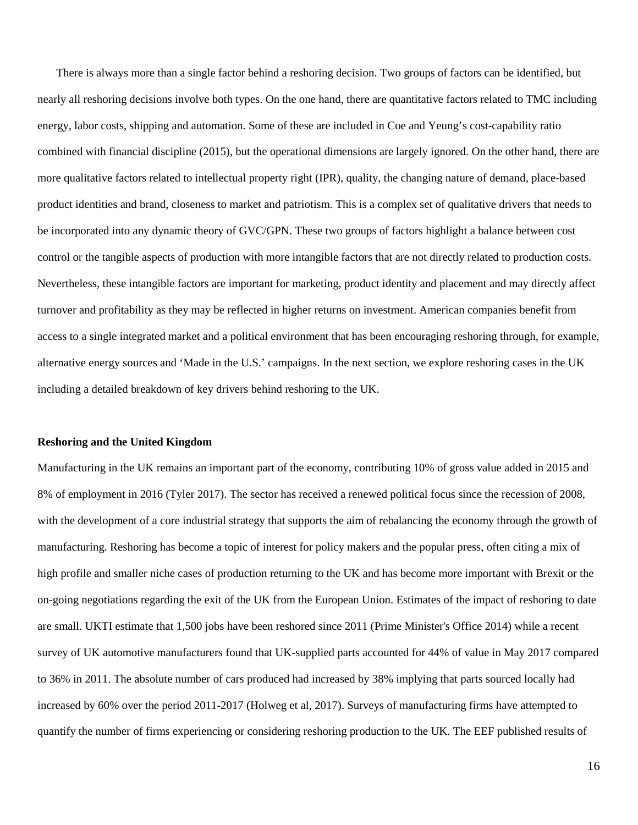There is always more than a single factor behind a reshoring decision. Two groups of factors can be identified, but nearly all reshoring decisions involve both types. On the one hand, there are quantitative factors related to TMC including energy, labor costs, shipping and automation. Some of these are included in Coe and Yeung's cost-capability ratio combined with financial discipline (2015), but the operational dimensions are largely ignored. On the other hand, there are more qualitative factors related to intellectual property right (IPR), quality, the changing nature of demand, place-based product identities and brand, closeness to market and patriotism. This is a complex set of qualitative drivers that needs to be incorporated into any dynamic theory of GVC/GPN. These two groups of factors highlight a balance between cost control or the tangible aspects of production with more intangible factors that are not directly related to production costs. Nevertheless, these intangible factors are important for marketing, product identity and placement and may directly affect turnover and profitability as they may be reflected in higher returns on investment. American companies benefit from access to a single integrated market and a political environment that has been encouraging reshoring through, for example, alternative energy sources and 'Made in the U.S.' campaigns. In the next section, we explore reshoring cases in the UK including a detailed breakdown of key drivers behind reshoring to the UK.

#### **Reshoring and the United Kingdom**

Manufacturing in the UK remains an important part of the economy, contributing 10% of gross value added in 2015 and 8% of employment in 2016 (Tyler 2017). The sector has received a renewed political focus since the recession of 2008, with the development of a core industrial strategy that supports the aim of rebalancing the economy through the growth of manufacturing. Reshoring has become a topic of interest for policy makers and the popular press, often citing a mix of high profile and smaller niche cases of production returning to the UK and has become more important with Brexit or the on-going negotiations regarding the exit of the UK from the European Union. Estimates of the impact of reshoring to date are small. UKTI estimate that 1,500 jobs have been reshored since 2011 (Prime Minister's Office 2014) while a recent survey of UK automotive manufacturers found that UK-supplied parts accounted for 44% of value in May 2017 compared to 36% in 2011. The absolute number of cars produced had increased by 38% implying that parts sourced locally had increased by 60% over the period 2011-2017 (Holweg et al, 2017). Surveys of manufacturing firms have attempted to quantify the number of firms experiencing or considering reshoring production to the UK. The EEF published results of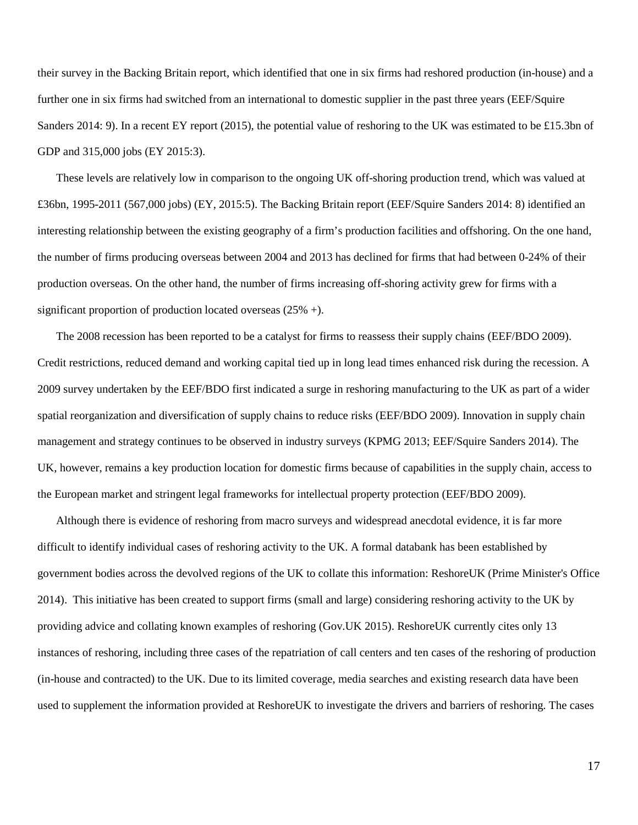their survey in the Backing Britain report, which identified that one in six firms had reshored production (in-house) and a further one in six firms had switched from an international to domestic supplier in the past three years (EEF/Squire Sanders 2014: 9). In a recent EY report (2015), the potential value of reshoring to the UK was estimated to be £15.3bn of GDP and 315,000 jobs (EY 2015:3).

These levels are relatively low in comparison to the ongoing UK off-shoring production trend, which was valued at £36bn, 1995-2011 (567,000 jobs) (EY, 2015:5). The Backing Britain report (EEF/Squire Sanders 2014: 8) identified an interesting relationship between the existing geography of a firm's production facilities and offshoring. On the one hand, the number of firms producing overseas between 2004 and 2013 has declined for firms that had between 0-24% of their production overseas. On the other hand, the number of firms increasing off-shoring activity grew for firms with a significant proportion of production located overseas  $(25\% +)$ .

The 2008 recession has been reported to be a catalyst for firms to reassess their supply chains (EEF/BDO 2009). Credit restrictions, reduced demand and working capital tied up in long lead times enhanced risk during the recession. A 2009 survey undertaken by the EEF/BDO first indicated a surge in reshoring manufacturing to the UK as part of a wider spatial reorganization and diversification of supply chains to reduce risks (EEF/BDO 2009). Innovation in supply chain management and strategy continues to be observed in industry surveys (KPMG 2013; EEF/Squire Sanders 2014). The UK, however, remains a key production location for domestic firms because of capabilities in the supply chain, access to the European market and stringent legal frameworks for intellectual property protection (EEF/BDO 2009).

Although there is evidence of reshoring from macro surveys and widespread anecdotal evidence, it is far more difficult to identify individual cases of reshoring activity to the UK. A formal databank has been established by government bodies across the devolved regions of the UK to collate this information: ReshoreUK (Prime Minister's Office 2014). This initiative has been created to support firms (small and large) considering reshoring activity to the UK by providing advice and collating known examples of reshoring (Gov.UK 2015). ReshoreUK currently cites only 13 instances of reshoring, including three cases of the repatriation of call centers and ten cases of the reshoring of production (in-house and contracted) to the UK. Due to its limited coverage, media searches and existing research data have been used to supplement the information provided at ReshoreUK to investigate the drivers and barriers of reshoring. The cases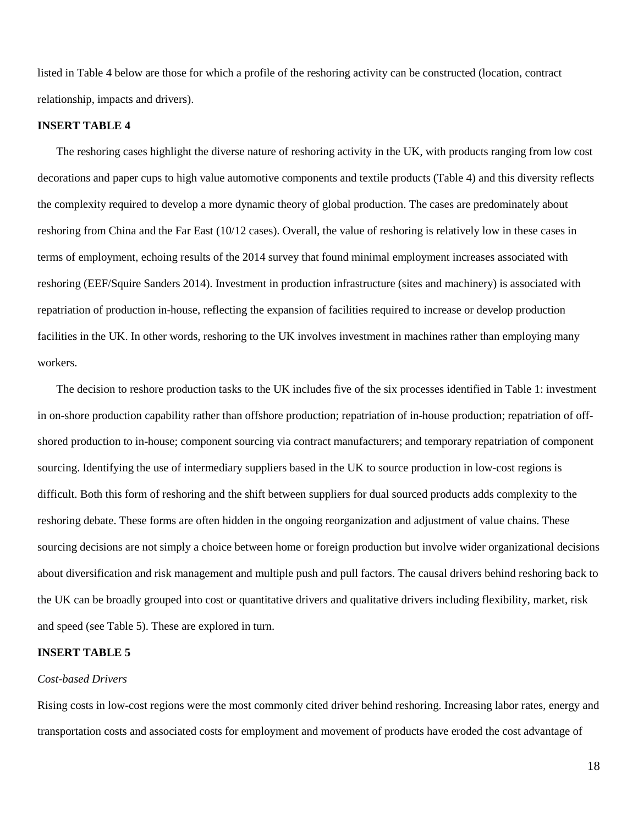listed in Table 4 below are those for which a profile of the reshoring activity can be constructed (location, contract relationship, impacts and drivers).

# **INSERT TABLE 4**

The reshoring cases highlight the diverse nature of reshoring activity in the UK, with products ranging from low cost decorations and paper cups to high value automotive components and textile products (Table 4) and this diversity reflects the complexity required to develop a more dynamic theory of global production. The cases are predominately about reshoring from China and the Far East (10/12 cases). Overall, the value of reshoring is relatively low in these cases in terms of employment, echoing results of the 2014 survey that found minimal employment increases associated with reshoring (EEF/Squire Sanders 2014). Investment in production infrastructure (sites and machinery) is associated with repatriation of production in-house, reflecting the expansion of facilities required to increase or develop production facilities in the UK. In other words, reshoring to the UK involves investment in machines rather than employing many workers.

The decision to reshore production tasks to the UK includes five of the six processes identified in Table 1: investment in on-shore production capability rather than offshore production; repatriation of in-house production; repatriation of offshored production to in-house; component sourcing via contract manufacturers; and temporary repatriation of component sourcing. Identifying the use of intermediary suppliers based in the UK to source production in low-cost regions is difficult. Both this form of reshoring and the shift between suppliers for dual sourced products adds complexity to the reshoring debate. These forms are often hidden in the ongoing reorganization and adjustment of value chains. These sourcing decisions are not simply a choice between home or foreign production but involve wider organizational decisions about diversification and risk management and multiple push and pull factors. The causal drivers behind reshoring back to the UK can be broadly grouped into cost or quantitative drivers and qualitative drivers including flexibility, market, risk and speed (see Table 5). These are explored in turn.

# **INSERT TABLE 5**

#### *Cost-based Drivers*

Rising costs in low-cost regions were the most commonly cited driver behind reshoring. Increasing labor rates, energy and transportation costs and associated costs for employment and movement of products have eroded the cost advantage of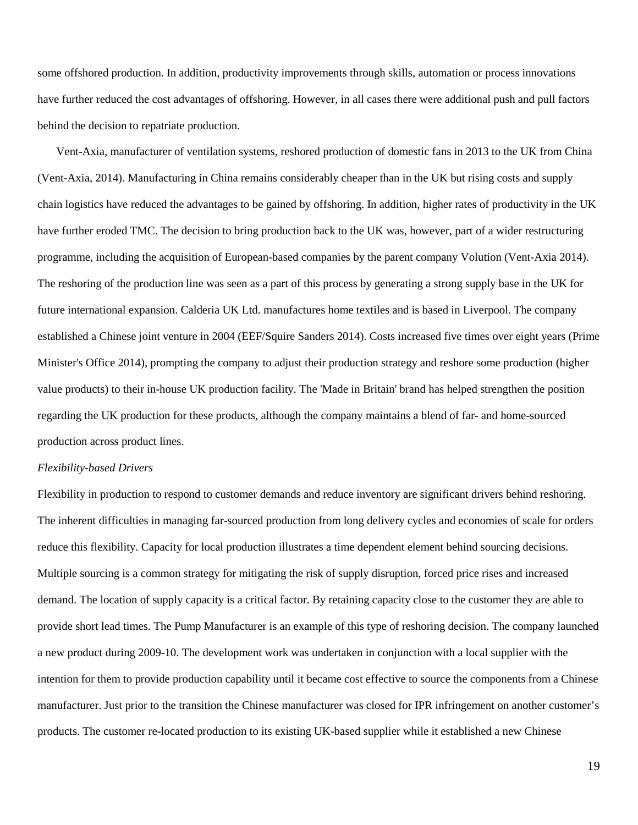some offshored production. In addition, productivity improvements through skills, automation or process innovations have further reduced the cost advantages of offshoring. However, in all cases there were additional push and pull factors behind the decision to repatriate production.

Vent-Axia, manufacturer of ventilation systems, reshored production of domestic fans in 2013 to the UK from China (Vent-Axia, 2014). Manufacturing in China remains considerably cheaper than in the UK but rising costs and supply chain logistics have reduced the advantages to be gained by offshoring. In addition, higher rates of productivity in the UK have further eroded TMC. The decision to bring production back to the UK was, however, part of a wider restructuring programme, including the acquisition of European-based companies by the parent company Volution (Vent-Axia 2014). The reshoring of the production line was seen as a part of this process by generating a strong supply base in the UK for future international expansion. Calderia UK Ltd. manufactures home textiles and is based in Liverpool. The company established a Chinese joint venture in 2004 (EEF/Squire Sanders 2014). Costs increased five times over eight years (Prime Minister's Office 2014), prompting the company to adjust their production strategy and reshore some production (higher value products) to their in-house UK production facility. The 'Made in Britain' brand has helped strengthen the position regarding the UK production for these products, although the company maintains a blend of far- and home-sourced production across product lines.

#### *Flexibility-based Drivers*

Flexibility in production to respond to customer demands and reduce inventory are significant drivers behind reshoring. The inherent difficulties in managing far-sourced production from long delivery cycles and economies of scale for orders reduce this flexibility. Capacity for local production illustrates a time dependent element behind sourcing decisions. Multiple sourcing is a common strategy for mitigating the risk of supply disruption, forced price rises and increased demand. The location of supply capacity is a critical factor. By retaining capacity close to the customer they are able to provide short lead times. The Pump Manufacturer is an example of this type of reshoring decision. The company launched a new product during 2009-10. The development work was undertaken in conjunction with a local supplier with the intention for them to provide production capability until it became cost effective to source the components from a Chinese manufacturer. Just prior to the transition the Chinese manufacturer was closed for IPR infringement on another customer's products. The customer re-located production to its existing UK-based supplier while it established a new Chinese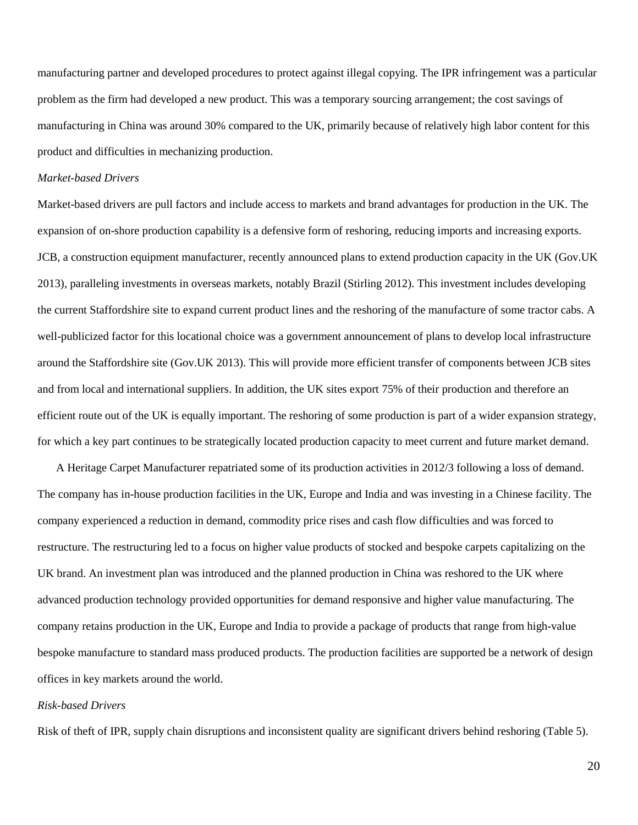manufacturing partner and developed procedures to protect against illegal copying. The IPR infringement was a particular problem as the firm had developed a new product. This was a temporary sourcing arrangement; the cost savings of manufacturing in China was around 30% compared to the UK, primarily because of relatively high labor content for this product and difficulties in mechanizing production.

### *Market-based Drivers*

Market-based drivers are pull factors and include access to markets and brand advantages for production in the UK. The expansion of on-shore production capability is a defensive form of reshoring, reducing imports and increasing exports. JCB, a construction equipment manufacturer, recently announced plans to extend production capacity in the UK (Gov.UK 2013), paralleling investments in overseas markets, notably Brazil (Stirling 2012). This investment includes developing the current Staffordshire site to expand current product lines and the reshoring of the manufacture of some tractor cabs. A well-publicized factor for this locational choice was a government announcement of plans to develop local infrastructure around the Staffordshire site (Gov.UK 2013). This will provide more efficient transfer of components between JCB sites and from local and international suppliers. In addition, the UK sites export 75% of their production and therefore an efficient route out of the UK is equally important. The reshoring of some production is part of a wider expansion strategy, for which a key part continues to be strategically located production capacity to meet current and future market demand.

A Heritage Carpet Manufacturer repatriated some of its production activities in 2012/3 following a loss of demand. The company has in-house production facilities in the UK, Europe and India and was investing in a Chinese facility. The company experienced a reduction in demand, commodity price rises and cash flow difficulties and was forced to restructure. The restructuring led to a focus on higher value products of stocked and bespoke carpets capitalizing on the UK brand. An investment plan was introduced and the planned production in China was reshored to the UK where advanced production technology provided opportunities for demand responsive and higher value manufacturing. The company retains production in the UK, Europe and India to provide a package of products that range from high-value bespoke manufacture to standard mass produced products. The production facilities are supported be a network of design offices in key markets around the world.

# *Risk-based Drivers*

Risk of theft of IPR, supply chain disruptions and inconsistent quality are significant drivers behind reshoring (Table 5).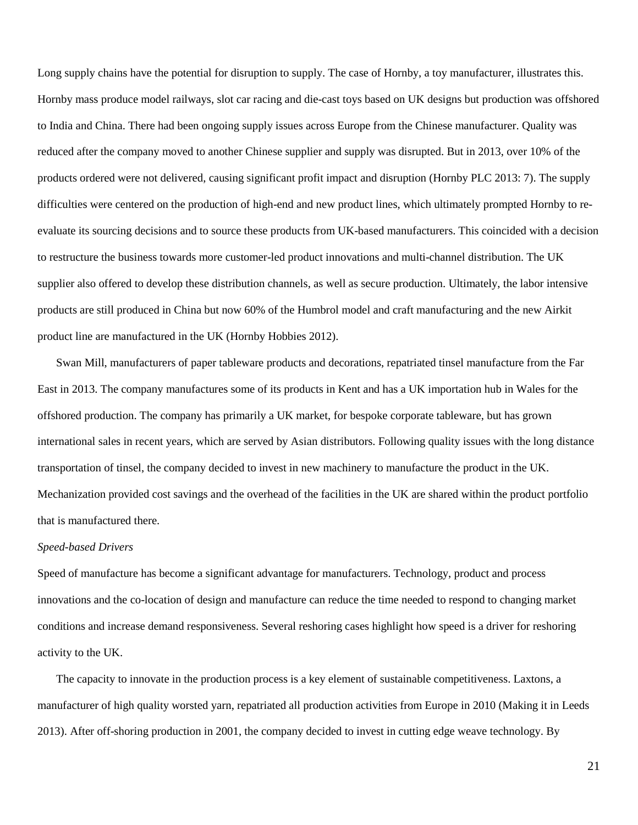Long supply chains have the potential for disruption to supply. The case of Hornby, a toy manufacturer, illustrates this. Hornby mass produce model railways, slot car racing and die-cast toys based on UK designs but production was offshored to India and China. There had been ongoing supply issues across Europe from the Chinese manufacturer. Quality was reduced after the company moved to another Chinese supplier and supply was disrupted. But in 2013, over 10% of the products ordered were not delivered, causing significant profit impact and disruption (Hornby PLC 2013: 7). The supply difficulties were centered on the production of high-end and new product lines, which ultimately prompted Hornby to reevaluate its sourcing decisions and to source these products from UK-based manufacturers. This coincided with a decision to restructure the business towards more customer-led product innovations and multi-channel distribution. The UK supplier also offered to develop these distribution channels, as well as secure production. Ultimately, the labor intensive products are still produced in China but now 60% of the Humbrol model and craft manufacturing and the new Airkit product line are manufactured in the UK (Hornby Hobbies 2012).

Swan Mill, manufacturers of paper tableware products and decorations, repatriated tinsel manufacture from the Far East in 2013. The company manufactures some of its products in Kent and has a UK importation hub in Wales for the offshored production. The company has primarily a UK market, for bespoke corporate tableware, but has grown international sales in recent years, which are served by Asian distributors. Following quality issues with the long distance transportation of tinsel, the company decided to invest in new machinery to manufacture the product in the UK. Mechanization provided cost savings and the overhead of the facilities in the UK are shared within the product portfolio that is manufactured there.

#### *Speed-based Drivers*

Speed of manufacture has become a significant advantage for manufacturers. Technology, product and process innovations and the co-location of design and manufacture can reduce the time needed to respond to changing market conditions and increase demand responsiveness. Several reshoring cases highlight how speed is a driver for reshoring activity to the UK.

The capacity to innovate in the production process is a key element of sustainable competitiveness. Laxtons, a manufacturer of high quality worsted yarn, repatriated all production activities from Europe in 2010 (Making it in Leeds 2013). After off-shoring production in 2001, the company decided to invest in cutting edge weave technology. By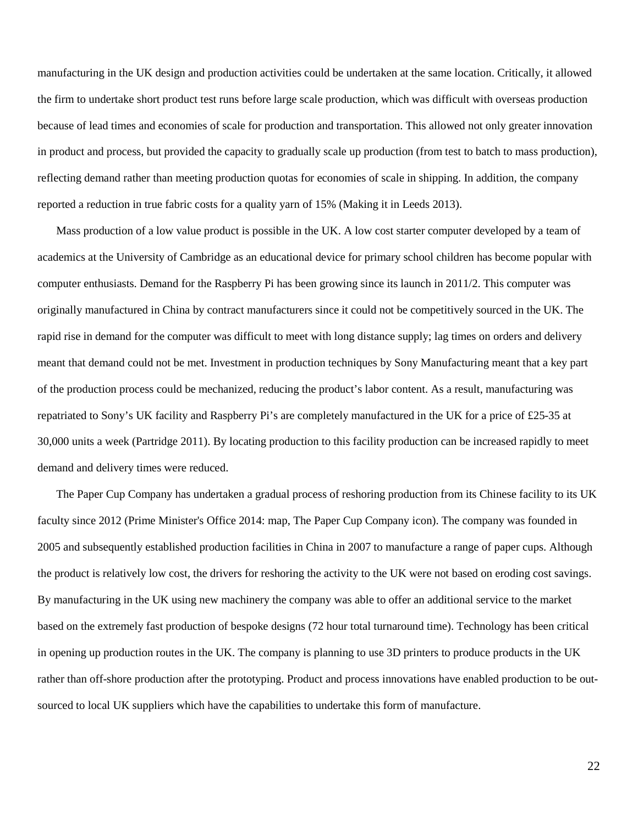manufacturing in the UK design and production activities could be undertaken at the same location. Critically, it allowed the firm to undertake short product test runs before large scale production, which was difficult with overseas production because of lead times and economies of scale for production and transportation. This allowed not only greater innovation in product and process, but provided the capacity to gradually scale up production (from test to batch to mass production), reflecting demand rather than meeting production quotas for economies of scale in shipping. In addition, the company reported a reduction in true fabric costs for a quality yarn of 15% (Making it in Leeds 2013).

Mass production of a low value product is possible in the UK. A low cost starter computer developed by a team of academics at the University of Cambridge as an educational device for primary school children has become popular with computer enthusiasts. Demand for the Raspberry Pi has been growing since its launch in 2011/2. This computer was originally manufactured in China by contract manufacturers since it could not be competitively sourced in the UK. The rapid rise in demand for the computer was difficult to meet with long distance supply; lag times on orders and delivery meant that demand could not be met. Investment in production techniques by Sony Manufacturing meant that a key part of the production process could be mechanized, reducing the product's labor content. As a result, manufacturing was repatriated to Sony's UK facility and Raspberry Pi's are completely manufactured in the UK for a price of £25-35 at 30,000 units a week (Partridge 2011). By locating production to this facility production can be increased rapidly to meet demand and delivery times were reduced.

The Paper Cup Company has undertaken a gradual process of reshoring production from its Chinese facility to its UK faculty since 2012 (Prime Minister's Office 2014: map, The Paper Cup Company icon). The company was founded in 2005 and subsequently established production facilities in China in 2007 to manufacture a range of paper cups. Although the product is relatively low cost, the drivers for reshoring the activity to the UK were not based on eroding cost savings. By manufacturing in the UK using new machinery the company was able to offer an additional service to the market based on the extremely fast production of bespoke designs (72 hour total turnaround time). Technology has been critical in opening up production routes in the UK. The company is planning to use 3D printers to produce products in the UK rather than off-shore production after the prototyping. Product and process innovations have enabled production to be outsourced to local UK suppliers which have the capabilities to undertake this form of manufacture.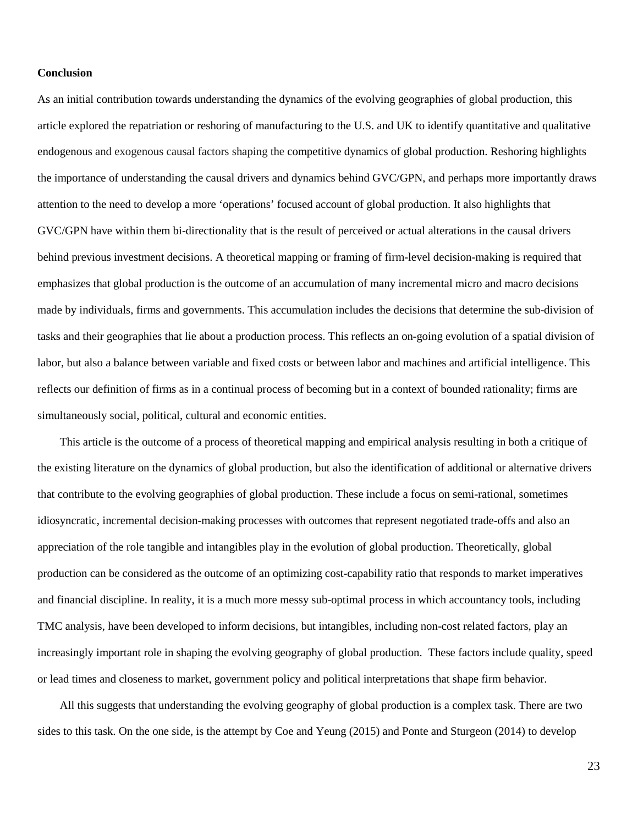# **Conclusion**

As an initial contribution towards understanding the dynamics of the evolving geographies of global production, this article explored the repatriation or reshoring of manufacturing to the U.S. and UK to identify quantitative and qualitative endogenous and exogenous causal factors shaping the competitive dynamics of global production. Reshoring highlights the importance of understanding the causal drivers and dynamics behind GVC/GPN, and perhaps more importantly draws attention to the need to develop a more 'operations' focused account of global production. It also highlights that GVC/GPN have within them bi-directionality that is the result of perceived or actual alterations in the causal drivers behind previous investment decisions. A theoretical mapping or framing of firm-level decision-making is required that emphasizes that global production is the outcome of an accumulation of many incremental micro and macro decisions made by individuals, firms and governments. This accumulation includes the decisions that determine the sub-division of tasks and their geographies that lie about a production process. This reflects an on-going evolution of a spatial division of labor, but also a balance between variable and fixed costs or between labor and machines and artificial intelligence. This reflects our definition of firms as in a continual process of becoming but in a context of bounded rationality; firms are simultaneously social, political, cultural and economic entities.

This article is the outcome of a process of theoretical mapping and empirical analysis resulting in both a critique of the existing literature on the dynamics of global production, but also the identification of additional or alternative drivers that contribute to the evolving geographies of global production. These include a focus on semi-rational, sometimes idiosyncratic, incremental decision-making processes with outcomes that represent negotiated trade-offs and also an appreciation of the role tangible and intangibles play in the evolution of global production. Theoretically, global production can be considered as the outcome of an optimizing cost-capability ratio that responds to market imperatives and financial discipline. In reality, it is a much more messy sub-optimal process in which accountancy tools, including TMC analysis, have been developed to inform decisions, but intangibles, including non-cost related factors, play an increasingly important role in shaping the evolving geography of global production. These factors include quality, speed or lead times and closeness to market, government policy and political interpretations that shape firm behavior.

All this suggests that understanding the evolving geography of global production is a complex task. There are two sides to this task. On the one side, is the attempt by Coe and Yeung (2015) and Ponte and Sturgeon (2014) to develop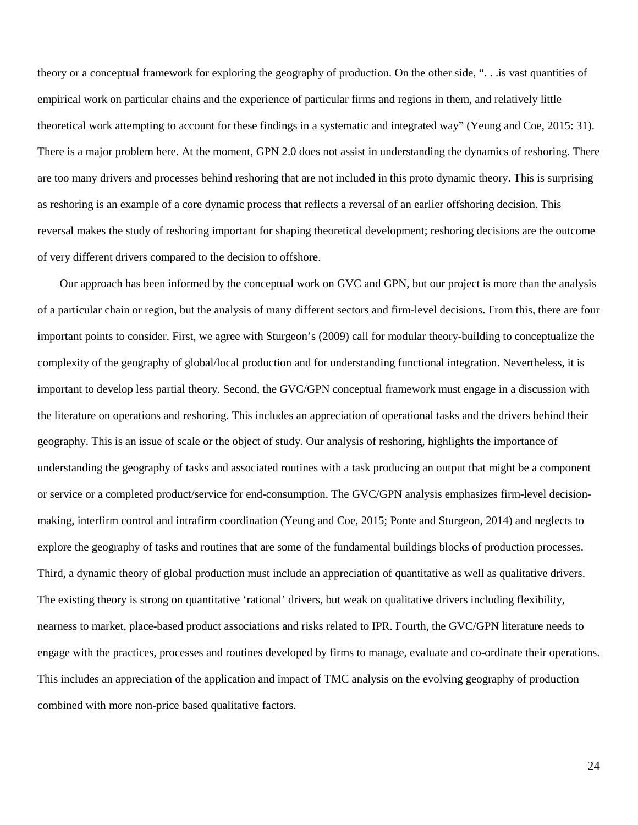theory or a conceptual framework for exploring the geography of production. On the other side, ". . .is vast quantities of empirical work on particular chains and the experience of particular firms and regions in them, and relatively little theoretical work attempting to account for these findings in a systematic and integrated way" (Yeung and Coe, 2015: 31). There is a major problem here. At the moment, GPN 2.0 does not assist in understanding the dynamics of reshoring. There are too many drivers and processes behind reshoring that are not included in this proto dynamic theory. This is surprising as reshoring is an example of a core dynamic process that reflects a reversal of an earlier offshoring decision. This reversal makes the study of reshoring important for shaping theoretical development; reshoring decisions are the outcome of very different drivers compared to the decision to offshore.

Our approach has been informed by the conceptual work on GVC and GPN, but our project is more than the analysis of a particular chain or region, but the analysis of many different sectors and firm-level decisions. From this, there are four important points to consider. First, we agree with Sturgeon's (2009) call for modular theory-building to conceptualize the complexity of the geography of global/local production and for understanding functional integration. Nevertheless, it is important to develop less partial theory. Second, the GVC/GPN conceptual framework must engage in a discussion with the literature on operations and reshoring. This includes an appreciation of operational tasks and the drivers behind their geography. This is an issue of scale or the object of study. Our analysis of reshoring, highlights the importance of understanding the geography of tasks and associated routines with a task producing an output that might be a component or service or a completed product/service for end-consumption. The GVC/GPN analysis emphasizes firm-level decisionmaking, interfirm control and intrafirm coordination (Yeung and Coe, 2015; Ponte and Sturgeon, 2014) and neglects to explore the geography of tasks and routines that are some of the fundamental buildings blocks of production processes. Third, a dynamic theory of global production must include an appreciation of quantitative as well as qualitative drivers. The existing theory is strong on quantitative 'rational' drivers, but weak on qualitative drivers including flexibility, nearness to market, place-based product associations and risks related to IPR. Fourth, the GVC/GPN literature needs to engage with the practices, processes and routines developed by firms to manage, evaluate and co-ordinate their operations. This includes an appreciation of the application and impact of TMC analysis on the evolving geography of production combined with more non-price based qualitative factors.

24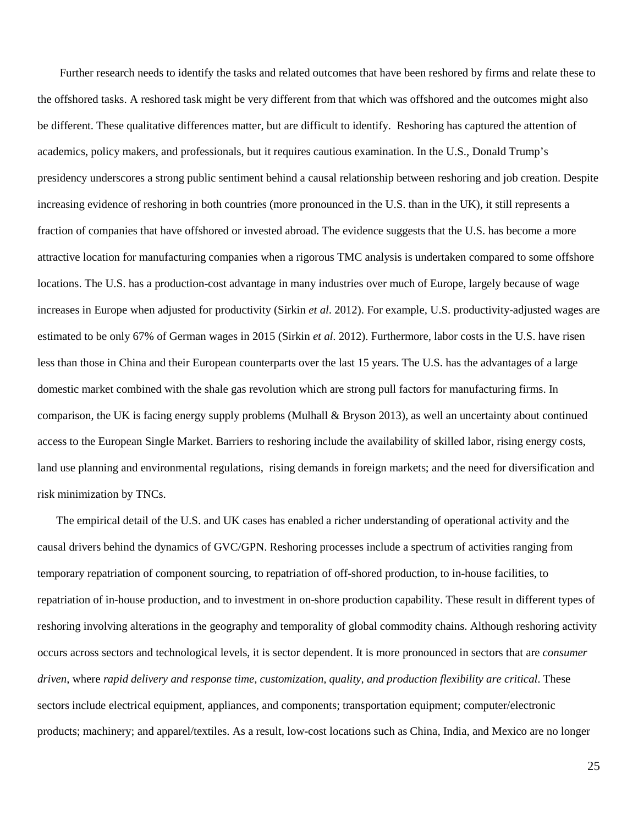Further research needs to identify the tasks and related outcomes that have been reshored by firms and relate these to the offshored tasks. A reshored task might be very different from that which was offshored and the outcomes might also be different. These qualitative differences matter, but are difficult to identify. Reshoring has captured the attention of academics, policy makers, and professionals, but it requires cautious examination. In the U.S., Donald Trump's presidency underscores a strong public sentiment behind a causal relationship between reshoring and job creation. Despite increasing evidence of reshoring in both countries (more pronounced in the U.S. than in the UK), it still represents a fraction of companies that have offshored or invested abroad. The evidence suggests that the U.S. has become a more attractive location for manufacturing companies when a rigorous TMC analysis is undertaken compared to some offshore locations. The U.S. has a production-cost advantage in many industries over much of Europe, largely because of wage increases in Europe when adjusted for productivity (Sirkin *et al*. 2012). For example, U.S. productivity-adjusted wages are estimated to be only 67% of German wages in 2015 (Sirkin *et al*. 2012). Furthermore, labor costs in the U.S. have risen less than those in China and their European counterparts over the last 15 years. The U.S. has the advantages of a large domestic market combined with the shale gas revolution which are strong pull factors for manufacturing firms. In comparison, the UK is facing energy supply problems (Mulhall & Bryson 2013), as well an uncertainty about continued access to the European Single Market. Barriers to reshoring include the availability of skilled labor, rising energy costs, land use planning and environmental regulations, rising demands in foreign markets; and the need for diversification and risk minimization by TNCs.

The empirical detail of the U.S. and UK cases has enabled a richer understanding of operational activity and the causal drivers behind the dynamics of GVC/GPN. Reshoring processes include a spectrum of activities ranging from temporary repatriation of component sourcing, to repatriation of off-shored production, to in-house facilities, to repatriation of in-house production, and to investment in on-shore production capability. These result in different types of reshoring involving alterations in the geography and temporality of global commodity chains. Although reshoring activity occurs across sectors and technological levels, it is sector dependent. It is more pronounced in sectors that are *consumer driven*, where *rapid delivery and response time, customization, quality, and production flexibility are critical*. These sectors include electrical equipment, appliances, and components; transportation equipment; computer/electronic products; machinery; and apparel/textiles. As a result, low-cost locations such as China, India, and Mexico are no longer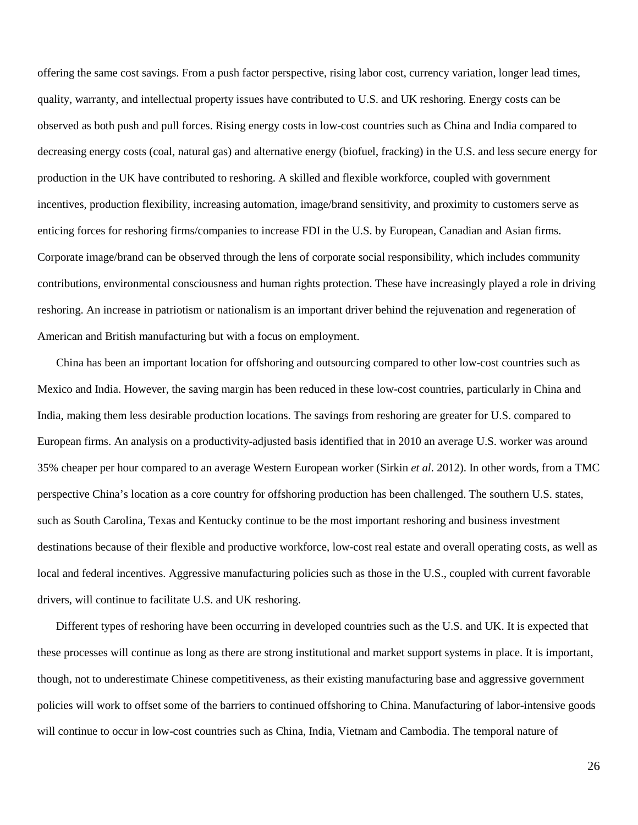offering the same cost savings. From a push factor perspective, rising labor cost, currency variation, longer lead times, quality, warranty, and intellectual property issues have contributed to U.S. and UK reshoring. Energy costs can be observed as both push and pull forces. Rising energy costs in low-cost countries such as China and India compared to decreasing energy costs (coal, natural gas) and alternative energy (biofuel, fracking) in the U.S. and less secure energy for production in the UK have contributed to reshoring. A skilled and flexible workforce, coupled with government incentives, production flexibility, increasing automation, image/brand sensitivity, and proximity to customers serve as enticing forces for reshoring firms/companies to increase FDI in the U.S. by European, Canadian and Asian firms. Corporate image/brand can be observed through the lens of corporate social responsibility, which includes community contributions, environmental consciousness and human rights protection. These have increasingly played a role in driving reshoring. An increase in patriotism or nationalism is an important driver behind the rejuvenation and regeneration of American and British manufacturing but with a focus on employment.

China has been an important location for offshoring and outsourcing compared to other low-cost countries such as Mexico and India. However, the saving margin has been reduced in these low-cost countries, particularly in China and India, making them less desirable production locations. The savings from reshoring are greater for U.S. compared to European firms. An analysis on a productivity-adjusted basis identified that in 2010 an average U.S. worker was around 35% cheaper per hour compared to an average Western European worker (Sirkin *et al*. 2012). In other words, from a TMC perspective China's location as a core country for offshoring production has been challenged. The southern U.S. states, such as South Carolina, Texas and Kentucky continue to be the most important reshoring and business investment destinations because of their flexible and productive workforce, low-cost real estate and overall operating costs, as well as local and federal incentives. Aggressive manufacturing policies such as those in the U.S., coupled with current favorable drivers, will continue to facilitate U.S. and UK reshoring.

Different types of reshoring have been occurring in developed countries such as the U.S. and UK. It is expected that these processes will continue as long as there are strong institutional and market support systems in place. It is important, though, not to underestimate Chinese competitiveness, as their existing manufacturing base and aggressive government policies will work to offset some of the barriers to continued offshoring to China. Manufacturing of labor-intensive goods will continue to occur in low-cost countries such as China, India, Vietnam and Cambodia. The temporal nature of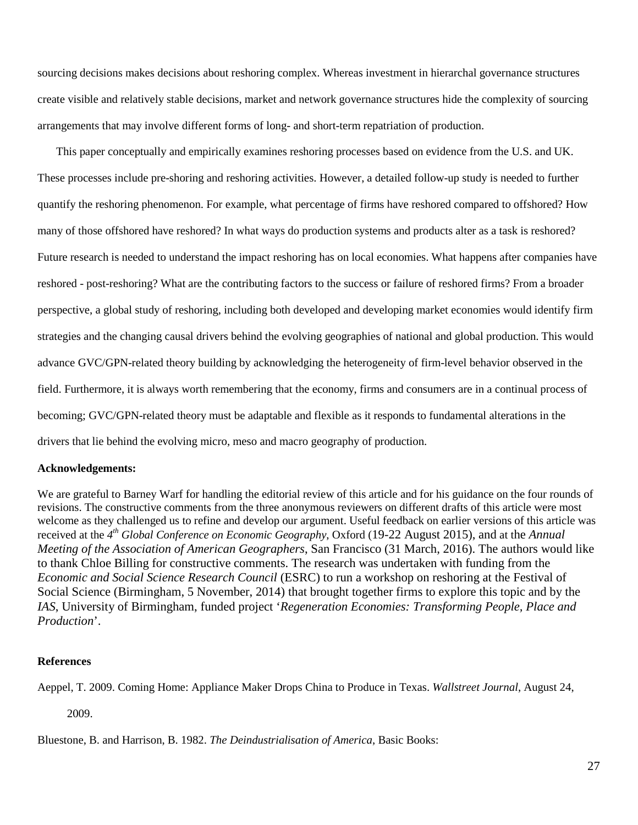sourcing decisions makes decisions about reshoring complex. Whereas investment in hierarchal governance structures create visible and relatively stable decisions, market and network governance structures hide the complexity of sourcing arrangements that may involve different forms of long- and short-term repatriation of production.

This paper conceptually and empirically examines reshoring processes based on evidence from the U.S. and UK. These processes include pre-shoring and reshoring activities. However, a detailed follow-up study is needed to further quantify the reshoring phenomenon. For example, what percentage of firms have reshored compared to offshored? How many of those offshored have reshored? In what ways do production systems and products alter as a task is reshored? Future research is needed to understand the impact reshoring has on local economies. What happens after companies have reshored - post-reshoring? What are the contributing factors to the success or failure of reshored firms? From a broader perspective, a global study of reshoring, including both developed and developing market economies would identify firm strategies and the changing causal drivers behind the evolving geographies of national and global production. This would advance GVC/GPN-related theory building by acknowledging the heterogeneity of firm-level behavior observed in the field. Furthermore, it is always worth remembering that the economy, firms and consumers are in a continual process of becoming; GVC/GPN-related theory must be adaptable and flexible as it responds to fundamental alterations in the drivers that lie behind the evolving micro, meso and macro geography of production.

### **Acknowledgements:**

We are grateful to Barney Warf for handling the editorial review of this article and for his guidance on the four rounds of revisions. The constructive comments from the three anonymous reviewers on different drafts of this article were most welcome as they challenged us to refine and develop our argument. Useful feedback on earlier versions of this article was received at the *4th Global Conference on Economic Geography*, Oxford (19-22 August 2015), and at the *Annual Meeting of the Association of American Geographers*, San Francisco (31 March, 2016). The authors would like to thank Chloe Billing for constructive comments. The research was undertaken with funding from the *Economic and Social Science Research Council* (ESRC) to run a workshop on reshoring at the Festival of Social Science (Birmingham, 5 November, 2014) that brought together firms to explore this topic and by the *IAS*, University of Birmingham, funded project '*Regeneration Economies: Transforming People, Place and Production*'.

# **References**

Aeppel, T. 2009. Coming Home: Appliance Maker Drops China to Produce in Texas. *Wallstreet Journal*, August 24,

2009.

Bluestone, B. and Harrison, B. 1982. *The Deindustrialisation of America*, Basic Books: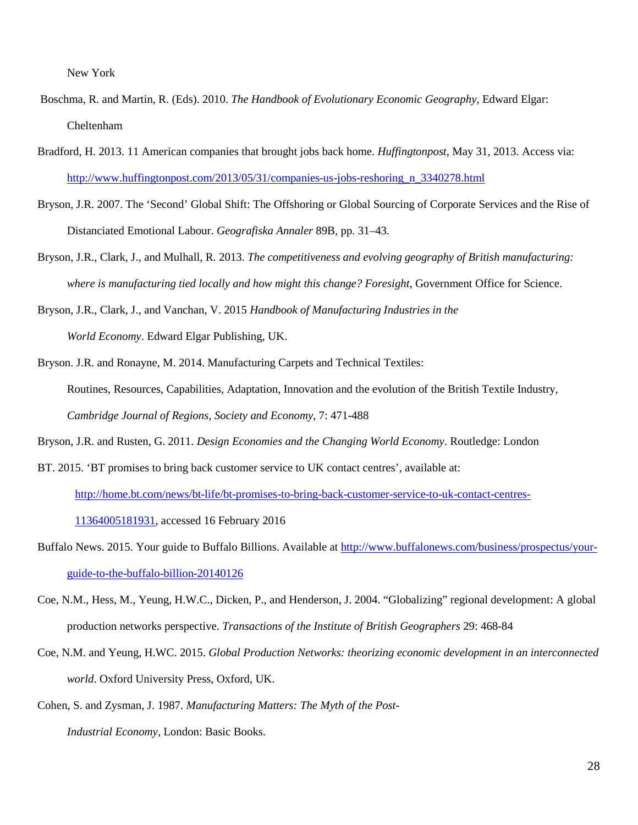- Boschma, R. and Martin, R. (Eds). 2010. *The Handbook of Evolutionary Economic Geography*, Edward Elgar: Cheltenham
- Bradford, H. 2013. 11 American companies that brought jobs back home. *Huffingtonpost*, May 31, 2013. Access via: [http://www.huffingtonpost.com/2013/05/31/companies-us-jobs-reshoring\\_n\\_3340278.html](http://www.huffingtonpost.com/2013/05/31/companies-us-jobs-reshoring_n_3340278.html)
- Bryson, J.R. 2007. The 'Second' Global Shift: The Offshoring or Global Sourcing of Corporate Services and the Rise of Distanciated Emotional Labour. *Geografiska Annaler* 89B, pp. 31–43.
- Bryson, J.R., Clark, J., and Mulhall, R. 2013. *The competitiveness and evolving geography of British manufacturing: where is manufacturing tied locally and how might this change? Foresight*, Government Office for Science.
- Bryson, J.R., Clark, J., and Vanchan, V. 2015 *Handbook of Manufacturing Industries in the World Economy*. Edward Elgar Publishing, UK.
- Bryson. J.R. and Ronayne, M. 2014. Manufacturing Carpets and Technical Textiles:

Routines, Resources, Capabilities, Adaptation, Innovation and the evolution of the British Textile Industry, *Cambridge Journal of Regions, Society and Economy*, 7: 471-488

Bryson, J.R. and Rusten, G. 2011. *Design Economies and the Changing World Economy*. Routledge: London

BT. 2015. 'BT promises to bring back customer service to UK contact centres', available at:

[http://home.bt.com/news/bt-life/bt-promises-to-bring-back-customer-service-to-uk-contact-centres-](http://home.bt.com/news/bt-life/bt-promises-to-bring-back-customer-service-to-uk-contact-centres-11364005181931)

[11364005181931,](http://home.bt.com/news/bt-life/bt-promises-to-bring-back-customer-service-to-uk-contact-centres-11364005181931) accessed 16 February 2016

- Buffalo News. 2015. Your guide to Buffalo Billions. Available at [http://www.buffalonews.com/business/prospectus/your](http://www.buffalonews.com/business/prospectus/your-guide-to-the-buffalo-billion-20140126)[guide-to-the-buffalo-billion-20140126](http://www.buffalonews.com/business/prospectus/your-guide-to-the-buffalo-billion-20140126)
- Coe, N.M., Hess, M., Yeung, H.W.C., Dicken, P., and Henderson, J. 2004. "Globalizing" regional development: A global production networks perspective. *Transactions of the Institute of British Geographers* 29: 468-84
- Coe, N.M. and Yeung, H.WC. 2015. *Global Production Networks: theorizing economic development in an interconnected world*. Oxford University Press, Oxford, UK.

Cohen, S. and Zysman, J. 1987. *Manufacturing Matters: The Myth of the Post-Industrial Economy,* London: Basic Books.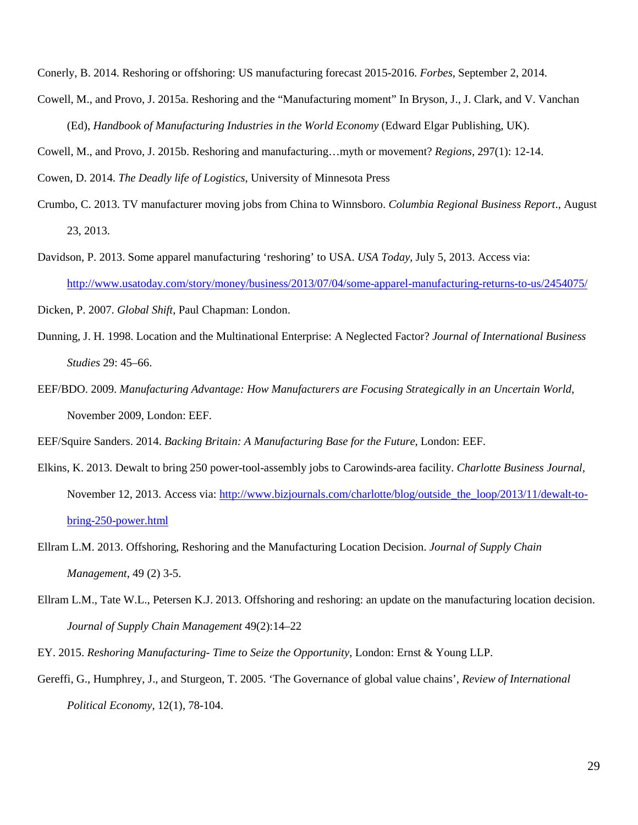Conerly, B. 2014. Reshoring or offshoring: US manufacturing forecast 2015-2016. *Forbes*, September 2, 2014.

Cowell, M., and Provo, J. 2015a. Reshoring and the "Manufacturing moment" In Bryson, J., J. Clark, and V. Vanchan (Ed), *Handbook of Manufacturing Industries in the World Economy* (Edward Elgar Publishing, UK).

Cowell, M., and Provo, J. 2015b. Reshoring and manufacturing…myth or movement? *Regions,* 297(1): 12-14.

Cowen, D. 2014. *The Deadly life of Logistics*, University of Minnesota Press

- Crumbo, C. 2013. TV manufacturer moving jobs from China to Winnsboro. *Columbia Regional Business Report*., August 23, 2013.
- Davidson, P. 2013. Some apparel manufacturing 'reshoring' to USA. *USA Today*, July 5, 2013. Access via: <http://www.usatoday.com/story/money/business/2013/07/04/some-apparel-manufacturing-returns-to-us/2454075/>

Dicken, P. 2007. *Global Shift*, Paul Chapman: London.

- Dunning, J. H. 1998. Location and the Multinational Enterprise: A Neglected Factor? *Journal of International Business Studies* 29: 45–66.
- EEF/BDO. 2009. *Manufacturing Advantage: How Manufacturers are Focusing Strategically in an Uncertain World*, November 2009, London: EEF.

EEF/Squire Sanders. 2014. *Backing Britain: A Manufacturing Base for the Future*, London: EEF.

- Elkins, K. 2013. Dewalt to bring 250 power-tool-assembly jobs to Carowinds-area facility. *Charlotte Business Journal,*  November 12, 2013. Access via: [http://www.bizjournals.com/charlotte/blog/outside\\_the\\_loop/2013/11/dewalt-to](http://www.bizjournals.com/charlotte/blog/outside_the_loop/2013/11/dewalt-to-bring-250-power.html)[bring-250-power.html](http://www.bizjournals.com/charlotte/blog/outside_the_loop/2013/11/dewalt-to-bring-250-power.html)
- Ellram L.M. 2013. Offshoring, Reshoring and the Manufacturing Location Decision. *Journal of Supply Chain Management*, 49 (2) 3-5.
- Ellram L.M., Tate W.L., Petersen K.J. 2013. Offshoring and reshoring: an update on the manufacturing location decision. *Journal of Supply Chain Management* 49(2):14–22

EY. 2015. *Reshoring Manufacturing- Time to Seize the Opportunity*, London: Ernst & Young LLP.

Gereffi, G., Humphrey, J., and Sturgeon, T. 2005. 'The Governance of global value chains', *Review of International Political Economy*, 12(1), 78-104.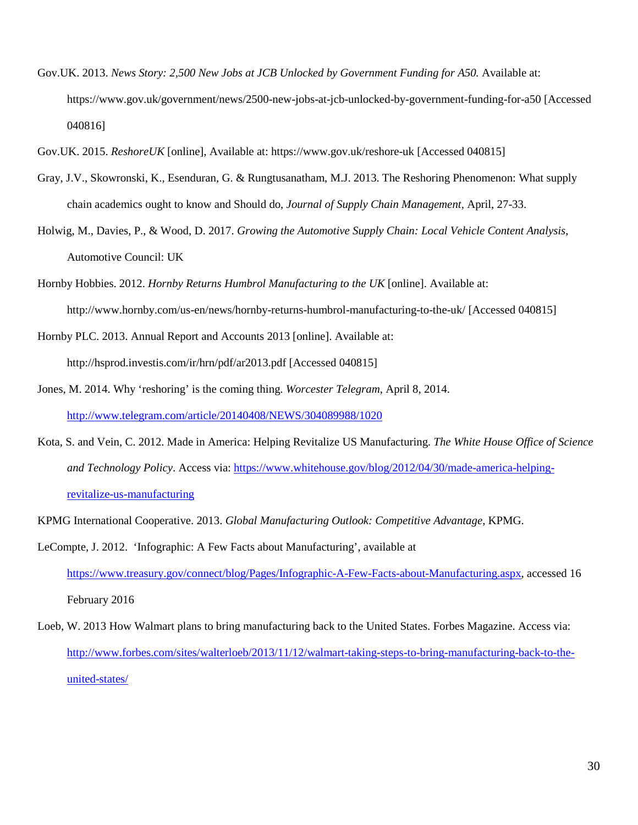- Gov.UK. 2013. *News Story: 2,500 New Jobs at JCB Unlocked by Government Funding for A50.* Available at: https://www.gov.uk/government/news/2500-new-jobs-at-jcb-unlocked-by-government-funding-for-a50 [Accessed 040816]
- Gov.UK. 2015. *ReshoreUK* [online], Available at: https://www.gov.uk/reshore-uk [Accessed 040815]
- Gray, J.V., Skowronski, K., Esenduran, G. & Rungtusanatham, M.J. 2013. The Reshoring Phenomenon: What supply chain academics ought to know and Should do, *Journal of Supply Chain Management*, April, 27-33.
- Holwig, M., Davies, P., & Wood, D. 2017. *Growing the Automotive Supply Chain: Local Vehicle Content Analysis*, Automotive Council: UK
- Hornby Hobbies. 2012. *Hornby Returns Humbrol Manufacturing to the UK* [online]. Available at: http://www.hornby.com/us-en/news/hornby-returns-humbrol-manufacturing-to-the-uk/ [Accessed 040815]
- Hornby PLC. 2013. Annual Report and Accounts 2013 [online]. Available at: http://hsprod.investis.com/ir/hrn/pdf/ar2013.pdf [Accessed 040815]
- Jones, M. 2014. Why 'reshoring' is the coming thing. *Worcester Telegram*, April 8, 2014. <http://www.telegram.com/article/20140408/NEWS/304089988/1020>
- Kota, S. and Vein, C. 2012. Made in America: Helping Revitalize US Manufacturing. *The White House Office of Science and Technology Policy*. Access via: [https://www.whitehouse.gov/blog/2012/04/30/made-america-helping](https://www.whitehouse.gov/blog/2012/04/30/made-america-helping-revitalize-us-manufacturing)[revitalize-us-manufacturing](https://www.whitehouse.gov/blog/2012/04/30/made-america-helping-revitalize-us-manufacturing)
- KPMG International Cooperative. 2013. *Global Manufacturing Outlook: Competitive Advantage*, KPMG.
- LeCompte, J. 2012. 'Infographic: A Few Facts about Manufacturing', available at [https://www.treasury.gov/connect/blog/Pages/Infographic-A-Few-Facts-about-Manufacturing.aspx,](https://www.treasury.gov/connect/blog/Pages/Infographic-A-Few-Facts-about-Manufacturing.aspx) accessed 16 February 2016
- Loeb, W. 2013 How Walmart plans to bring manufacturing back to the United States. Forbes Magazine. Access via: [http://www.forbes.com/sites/walterloeb/2013/11/12/walmart-taking-steps-to-bring-manufacturing-back-to-the](http://www.forbes.com/sites/walterloeb/2013/11/12/walmart-taking-steps-to-bring-manufacturing-back-to-the-united-states/)[united-states/](http://www.forbes.com/sites/walterloeb/2013/11/12/walmart-taking-steps-to-bring-manufacturing-back-to-the-united-states/)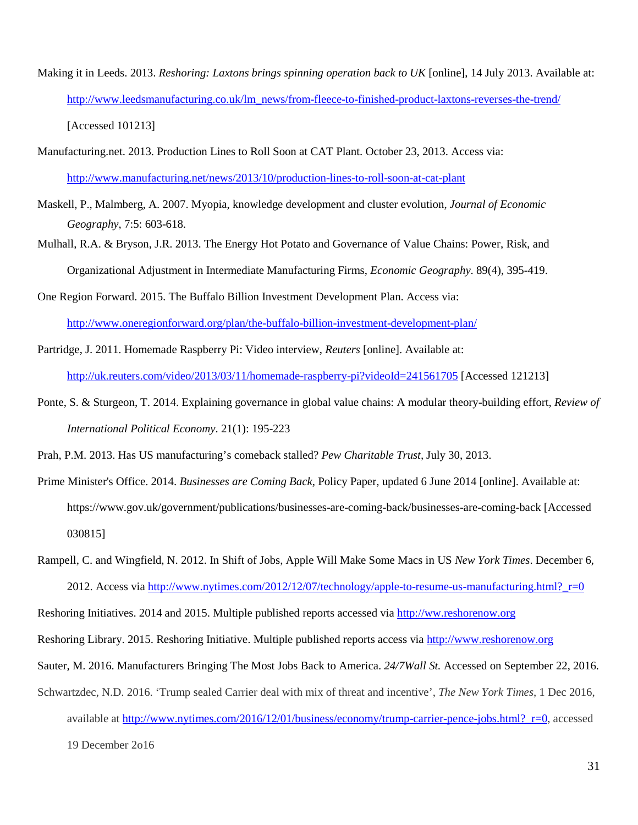- Making it in Leeds. 2013. *Reshoring: Laxtons brings spinning operation back to UK* [online], 14 July 2013. Available at: [http://www.leedsmanufacturing.co.uk/lm\\_news/from-fleece-to-finished-product-laxtons-reverses-the-trend/](http://www.leedsmanufacturing.co.uk/lm_news/from-fleece-to-finished-product-laxtons-reverses-the-trend/) [Accessed 101213]
- Manufacturing.net. 2013. Production Lines to Roll Soon at CAT Plant. October 23, 2013. Access via: <http://www.manufacturing.net/news/2013/10/production-lines-to-roll-soon-at-cat-plant>
- Maskell, P., Malmberg, A. 2007. Myopia, knowledge development and cluster evolution, *Journal of Economic Geography*, 7:5: 603-618.
- Mulhall, R.A. & Bryson, J.R. 2013. The Energy Hot Potato and Governance of Value Chains: Power, Risk, and Organizational Adjustment in Intermediate Manufacturing Firms, *Economic Geography*. 89(4), 395-419.
- One Region Forward. 2015. The Buffalo Billion Investment Development Plan. Access via: <http://www.oneregionforward.org/plan/the-buffalo-billion-investment-development-plan/>
- Partridge, J. 2011. Homemade Raspberry Pi: Video interview, *Reuters* [online]. Available at: <http://uk.reuters.com/video/2013/03/11/homemade-raspberry-pi?videoId=241561705> [Accessed 121213]
- Ponte, S. & Sturgeon, T. 2014. Explaining governance in global value chains: A modular theory-building effort, *Review of International Political Economy*. 21(1): 195-223
- Prah, P.M. 2013. Has US manufacturing's comeback stalled? *Pew Charitable Trust,* July 30, 2013.
- Prime Minister's Office. 2014. *Businesses are Coming Back*, Policy Paper, updated 6 June 2014 [online]. Available at: https://www.gov.uk/government/publications/businesses-are-coming-back/businesses-are-coming-back [Accessed 030815]
- Rampell, C. and Wingfield, N. 2012. In Shift of Jobs, Apple Will Make Some Macs in US *New York Times*. December 6, 2012. Access via http://www.nytimes.com/2012/12/07/technology/apple-to-resume-us-manufacturing.html?  $r=0$
- Reshoring Initiatives. 2014 and 2015. Multiple published reports accessed via [http://ww.reshorenow.org](http://ww.reshorenow.org/)
- Reshoring Library. 2015. Reshoring Initiative. Multiple published reports access via [http://www.reshorenow.org](http://www.reshorenow.org/)
- Sauter, M. 2016. Manufacturers Bringing The Most Jobs Back to America. *24/7Wall St.* Accessed on September 22, 2016.
- Schwartzdec, N.D. 2016. 'Trump sealed Carrier deal with mix of threat and incentive', *The New York Times*, 1 Dec 2016, available at [http://www.nytimes.com/2016/12/01/business/economy/trump-carrier-pence-jobs.html?\\_r=0,](http://www.nytimes.com/2016/12/01/business/economy/trump-carrier-pence-jobs.html?_r=0) accessed 19 December 2o16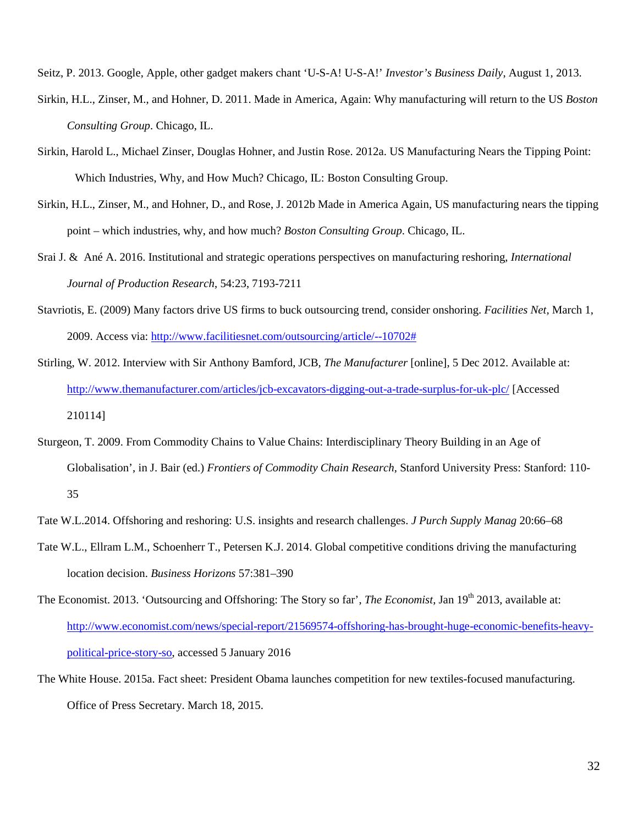Seitz, P. 2013. Google, Apple, other gadget makers chant 'U-S-A! U-S-A!' *Investor's Business Daily*, August 1, 2013.

- Sirkin, H.L., Zinser, M., and Hohner, D. 2011. Made in America, Again: Why manufacturing will return to the US *Boston Consulting Group*. Chicago, IL.
- Sirkin, Harold L., Michael Zinser, Douglas Hohner, and Justin Rose. 2012a. US Manufacturing Nears the Tipping Point: Which Industries, Why, and How Much? Chicago, IL: Boston Consulting Group.
- Sirkin, H.L., Zinser, M., and Hohner, D., and Rose, J. 2012b Made in America Again, US manufacturing nears the tipping point – which industries, why, and how much? *Boston Consulting Group*. Chicago, IL.
- Srai J. & Ané A. 2016. Institutional and strategic operations perspectives on manufacturing reshoring, *International Journal of Production Research*, 54:23, 7193-7211
- Stavriotis, E. (2009) Many factors drive US firms to buck outsourcing trend, consider onshoring. *Facilities Net,* March 1, 2009. Access via: [http://www.facilitiesnet.com/outsourcing/article/--10702#](http://www.facilitiesnet.com/outsourcing/article/--10702)
- Stirling, W. 2012. Interview with Sir Anthony Bamford, JCB, *The Manufacturer* [online], 5 Dec 2012. Available at: <http://www.themanufacturer.com/articles/jcb-excavators-digging-out-a-trade-surplus-for-uk-plc/> [Accessed 210114]
- Sturgeon, T. 2009. From Commodity Chains to Value Chains: Interdisciplinary Theory Building in an Age of Globalisation', in J. Bair (ed.) *Frontiers of Commodity Chain Research*, Stanford University Press: Stanford: 110- 35
- Tate W.L.2014. Offshoring and reshoring: U.S. insights and research challenges. *J Purch Supply Manag* 20:66–68
- Tate W.L., Ellram L.M., Schoenherr T., Petersen K.J. 2014. Global competitive conditions driving the manufacturing location decision. *Business Horizons* 57:381–390
- The Economist. 2013. 'Outsourcing and Offshoring: The Story so far', *The Economist*, Jan 19<sup>th</sup> 2013, available at: [http://www.economist.com/news/special-report/21569574-offshoring-has-brought-huge-economic-benefits-heavy](http://www.economist.com/news/special-report/21569574-offshoring-has-brought-huge-economic-benefits-heavy-political-price-story-so)[political-price-story-so,](http://www.economist.com/news/special-report/21569574-offshoring-has-brought-huge-economic-benefits-heavy-political-price-story-so) accessed 5 January 2016
- The White House. 2015a. Fact sheet: President Obama launches competition for new textiles-focused manufacturing. Office of Press Secretary. March 18, 2015.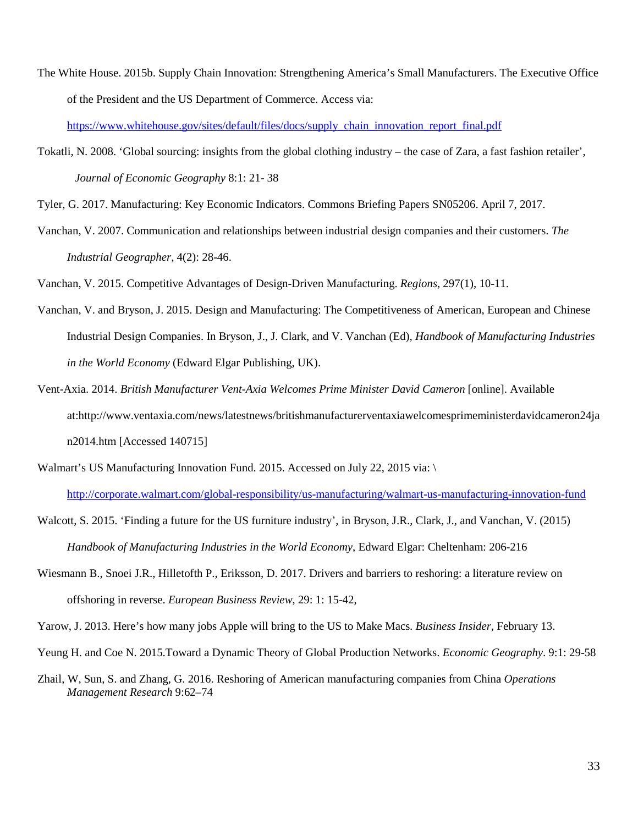The White House. 2015b. Supply Chain Innovation: Strengthening America's Small Manufacturers. The Executive Office of the President and the US Department of Commerce. Access via:

[https://www.whitehouse.gov/sites/default/files/docs/supply\\_chain\\_innovation\\_report\\_final.pdf](https://www.whitehouse.gov/sites/default/files/docs/supply_chain_innovation_report_final.pdf)

- Tokatli, N. 2008. 'Global sourcing: insights from the global clothing industry the case of Zara, a fast fashion retailer', *Journal of Economic Geography* 8:1: 21- 38
- Tyler, G. 2017. Manufacturing: Key Economic Indicators. Commons Briefing Papers SN05206. April 7, 2017.
- Vanchan, V. 2007. Communication and relationships between industrial design companies and their customers. *The Industrial Geographer*, 4(2): 28-46.

Vanchan, V. 2015. Competitive Advantages of Design-Driven Manufacturing. *Regions*, 297(1), 10-11.

- Vanchan, V. and Bryson, J. 2015. Design and Manufacturing: The Competitiveness of American, European and Chinese Industrial Design Companies. In Bryson, J., J. Clark, and V. Vanchan (Ed), *Handbook of Manufacturing Industries in the World Economy* (Edward Elgar Publishing, UK).
- Vent-Axia. 2014. *British Manufacturer Vent-Axia Welcomes Prime Minister David Cameron* [online]. Available at:http://www.ventaxia.com/news/latestnews/britishmanufacturerventaxiawelcomesprimeministerdavidcameron24ja n2014.htm [Accessed 140715]
- Walmart's US Manufacturing Innovation Fund. 2015. Accessed on July 22, 2015 via: \ <http://corporate.walmart.com/global-responsibility/us-manufacturing/walmart-us-manufacturing-innovation-fund>
- Walcott, S. 2015. 'Finding a future for the US furniture industry', in Bryson, J.R., Clark, J., and Vanchan, V. (2015) *Handbook of Manufacturing Industries in the World Economy*, Edward Elgar: Cheltenham: 206-216
- Wiesmann B., Snoei J.R., Hilletofth P., Eriksson, D. 2017. Drivers and barriers to reshoring: a literature review on offshoring in reverse. *European Business Review*, 29: 1: 15-42,
- Yarow, J. 2013. Here's how many jobs Apple will bring to the US to Make Macs. *Business Insider,* February 13.
- Yeung H. and Coe N. 2015.Toward a Dynamic Theory of Global Production Networks. *Economic Geography*. 9:1: 29-58
- Zhail, W, Sun, S. and Zhang, G. 2016. Reshoring of American manufacturing companies from China *Operations Management Research* 9:62–74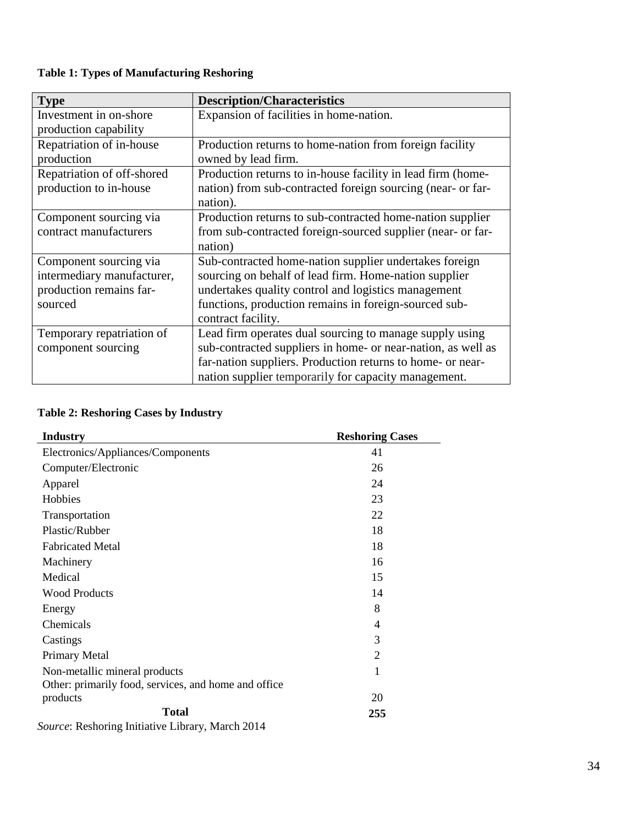# **Table 1: Types of Manufacturing Reshoring**

| <b>Type</b>                | <b>Description/Characteristics</b>                           |
|----------------------------|--------------------------------------------------------------|
| Investment in on-shore     | Expansion of facilities in home-nation.                      |
| production capability      |                                                              |
| Repatriation of in-house   | Production returns to home-nation from foreign facility      |
| production                 | owned by lead firm.                                          |
| Repatriation of off-shored | Production returns to in-house facility in lead firm (home-  |
| production to in-house     | nation) from sub-contracted foreign sourcing (near- or far-  |
|                            | nation).                                                     |
| Component sourcing via     | Production returns to sub-contracted home-nation supplier    |
| contract manufacturers     | from sub-contracted foreign-sourced supplier (near- or far-  |
|                            | nation)                                                      |
| Component sourcing via     | Sub-contracted home-nation supplier undertakes foreign       |
| intermediary manufacturer, | sourcing on behalf of lead firm. Home-nation supplier        |
| production remains far-    | undertakes quality control and logistics management          |
| sourced                    | functions, production remains in foreign-sourced sub-        |
|                            | contract facility.                                           |
| Temporary repatriation of  | Lead firm operates dual sourcing to manage supply using      |
| component sourcing         | sub-contracted suppliers in home- or near-nation, as well as |
|                            | far-nation suppliers. Production returns to home- or near-   |
|                            | nation supplier temporarily for capacity management.         |

# **Table 2: Reshoring Cases by Industry**

| <b>Industry</b>                                      | <b>Reshoring Cases</b> |
|------------------------------------------------------|------------------------|
| Electronics/Appliances/Components                    | 41                     |
| Computer/Electronic                                  | 26                     |
| Apparel                                              | 24                     |
| Hobbies                                              | 23                     |
| Transportation                                       | 22                     |
| Plastic/Rubber                                       | 18                     |
| <b>Fabricated Metal</b>                              | 18                     |
| Machinery                                            | 16                     |
| Medical                                              | 15                     |
| <b>Wood Products</b>                                 | 14                     |
| Energy                                               | 8                      |
| Chemicals                                            | $\overline{4}$         |
| Castings                                             | 3                      |
| <b>Primary Metal</b>                                 | 2                      |
| Non-metallic mineral products                        | 1                      |
| Other: primarily food, services, and home and office |                        |
| products                                             | 20                     |
| <b>Total</b>                                         | 255                    |
| Source: Reshoring Initiative Library, March 2014     |                        |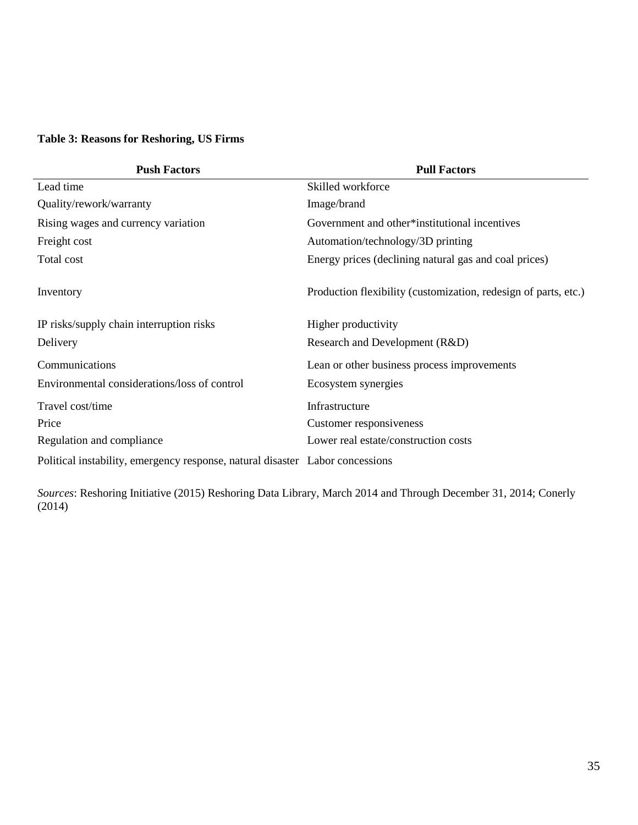# **Table 3: Reasons for Reshoring, US Firms**

| <b>Push Factors</b>                                                           | <b>Pull Factors</b>                                             |
|-------------------------------------------------------------------------------|-----------------------------------------------------------------|
| Lead time                                                                     | Skilled workforce                                               |
| Quality/rework/warranty                                                       | Image/brand                                                     |
| Rising wages and currency variation                                           | Government and other*institutional incentives                   |
| Freight cost                                                                  | Automation/technology/3D printing                               |
| Total cost                                                                    | Energy prices (declining natural gas and coal prices)           |
| Inventory                                                                     | Production flexibility (customization, redesign of parts, etc.) |
| IP risks/supply chain interruption risks                                      | Higher productivity                                             |
| Delivery                                                                      | Research and Development (R&D)                                  |
| Communications                                                                | Lean or other business process improvements                     |
| Environmental considerations/loss of control                                  | Ecosystem synergies                                             |
| Travel cost/time                                                              | Infrastructure                                                  |
| Price                                                                         | Customer responsiveness                                         |
| Regulation and compliance                                                     | Lower real estate/construction costs                            |
| Political instability, emergency response, natural disaster Labor concessions |                                                                 |

*Sources*: Reshoring Initiative (2015) Reshoring Data Library, March 2014 and Through December 31, 2014; Conerly (2014)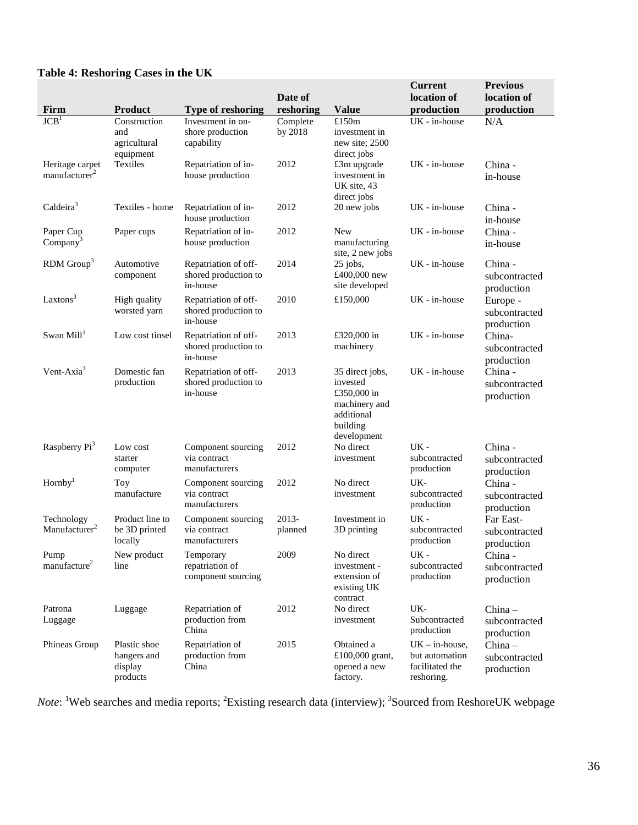# **Table 4: Reshoring Cases in the UK**

|                                              |                                                    |                                                          |                     |                                                                                                      | Current                                                             | <b>Previous</b>                          |
|----------------------------------------------|----------------------------------------------------|----------------------------------------------------------|---------------------|------------------------------------------------------------------------------------------------------|---------------------------------------------------------------------|------------------------------------------|
|                                              |                                                    |                                                          | Date of             |                                                                                                      | location of                                                         | location of                              |
| Firm                                         | Product                                            | <b>Type of reshoring</b>                                 | reshoring           | <b>Value</b>                                                                                         | production                                                          | production                               |
| $\overline{JCB}$ <sup>1</sup>                | Construction<br>and<br>agricultural<br>equipment   | Investment in on-<br>shore production<br>capability      | Complete<br>by 2018 | £150m<br>investment in<br>new site; 2500<br>direct jobs                                              | $UK - in-house$                                                     | N/A                                      |
| Heritage carpet<br>manufacturer <sup>2</sup> | Textiles                                           | Repatriation of in-<br>house production                  | 2012                | £3m upgrade<br>investment in<br>UK site, 43<br>direct jobs                                           | $UK$ - in-house                                                     | China -<br>in-house                      |
| Caldeira <sup>3</sup>                        | Textiles - home                                    | Repatriation of in-<br>house production                  | 2012                | 20 new jobs                                                                                          | UK - in-house                                                       | China -<br>in-house                      |
| Paper Cup<br>Company <sup>3</sup>            | Paper cups                                         | Repatriation of in-<br>house production                  | 2012                | <b>New</b><br>manufacturing<br>site, 2 new jobs                                                      | $UK - in$ -house                                                    | China -<br>in-house                      |
| RDM Group <sup>3</sup>                       | Automotive<br>component                            | Repatriation of off-<br>shored production to<br>in-house | 2014                | $25$ jobs,<br>£400,000 new<br>site developed                                                         | $UK - in$ -house                                                    | China -<br>subcontracted<br>production   |
| Laxtons <sup>3</sup>                         | High quality<br>worsted yarn                       | Repatriation of off-<br>shored production to<br>in-house | 2010                | £150,000                                                                                             | UK - in-house                                                       | Europe -<br>subcontracted<br>production  |
| Swan $Mill1$                                 | Low cost tinsel                                    | Repatriation of off-<br>shored production to<br>in-house | 2013                | £320,000 in<br>machinery                                                                             | UK - in-house                                                       | China-<br>subcontracted<br>production    |
| Vent-Axia <sup>3</sup>                       | Domestic fan<br>production                         | Repatriation of off-<br>shored production to<br>in-house | 2013                | 35 direct jobs,<br>invested<br>£350,000 in<br>machinery and<br>additional<br>building<br>development | UK - in-house                                                       | China -<br>subcontracted<br>production   |
| Raspberry Pi <sup>3</sup>                    | Low cost<br>starter<br>computer                    | Component sourcing<br>via contract<br>manufacturers      | 2012                | No direct<br>investment                                                                              | $UK -$<br>subcontracted<br>production                               | China -<br>subcontracted<br>production   |
| Hornby <sup>1</sup>                          | Toy<br>manufacture                                 | Component sourcing<br>via contract<br>manufacturers      | 2012                | No direct<br>investment                                                                              | UK-<br>subcontracted<br>production                                  | China -<br>subcontracted<br>production   |
| Technology<br>Manufacturer <sup>2</sup>      | Product line to<br>be 3D printed<br>locally        | Component sourcing<br>via contract<br>manufacturers      | 2013-<br>planned    | Investment in<br>3D printing                                                                         | UK -<br>subcontracted<br>production                                 | Far East-<br>subcontracted<br>production |
| Pump<br>manufacture <sup>2</sup>             | New product<br>line                                | Temporary<br>repatriation of<br>component sourcing       | 2009                | No direct<br>investment -<br>extension of<br>existing UK<br>contract                                 | UK-<br>subcontracted<br>production                                  | China -<br>subcontracted<br>production   |
| Patrona<br>Luggage                           | Luggage                                            | Repatriation of<br>production from<br>China              | 2012                | No direct<br>investment                                                                              | UK-<br>Subcontracted<br>production                                  | $China -$<br>subcontracted<br>production |
| Phineas Group                                | Plastic shoe<br>hangers and<br>display<br>products | Repatriation of<br>production from<br>China              | 2015                | Obtained a<br>£100,000 grant,<br>opened a new<br>factory.                                            | $UK - in-house,$<br>but automation<br>facilitated the<br>reshoring. | China-<br>subcontracted<br>production    |

*Note*: <sup>1</sup>Web searches and media reports; <sup>2</sup> Existing research data (interview); <sup>3</sup> Sourced from ReshoreUK webpage